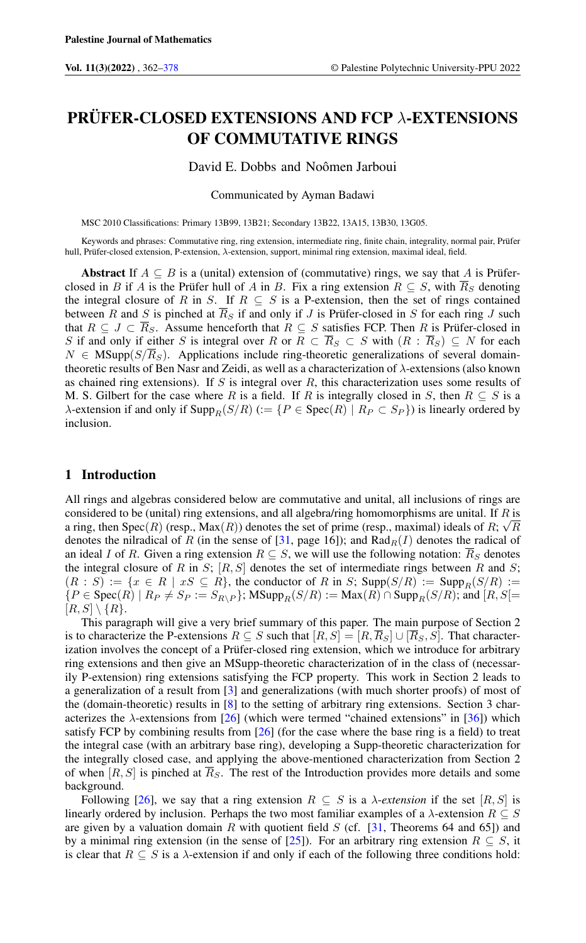# PRÜFER-CLOSED EXTENSIONS AND FCP λ-EXTENSIONS OF COMMUTATIVE RINGS

David E. Dobbs and Noômen Jarboui

Communicated by Ayman Badawi

MSC 2010 Classifications: Primary 13B99, 13B21; Secondary 13B22, 13A15, 13B30, 13G05.

Keywords and phrases: Commutative ring, ring extension, intermediate ring, finite chain, integrality, normal pair, Prüfer hull, Prüfer-closed extension, P-extension, λ-extension, support, minimal ring extension, maximal ideal, field.

Abstract If  $A \subseteq B$  is a (unital) extension of (commutative) rings, we say that A is Prüferclosed in B if A is the Prüfer hull of A in B. Fix a ring extension  $R \subseteq S$ , with  $\overline{R}_S$  denoting the integral closure of R in S. If  $R \subseteq S$  is a P-extension, then the set of rings contained between R and S is pinched at  $\overline{R}_S$  if and only if J is Prüfer-closed in S for each ring J such that  $R \subseteq J \subset \overline{R}_S$ . Assume henceforth that  $R \subseteq S$  satisfies FCP. Then R is Prüfer-closed in S if and only if either S is integral over R or  $R \subset \overline{R}_S \subset S$  with  $(R : \overline{R}_S) \subseteq N$  for each  $N \in \text{MSupp}(S/\overline{R}_S)$ . Applications include ring-theoretic generalizations of several domaintheoretic results of Ben Nasr and Zeidi, as well as a characterization of λ-extensions (also known as chained ring extensions). If  $S$  is integral over  $R$ , this characterization uses some results of M. S. Gilbert for the case where R is a field. If R is integrally closed in S, then  $R \subseteq S$  is a  $\lambda$ -extension if and only if  $\text{Supp}_R(S/R) := \{P \in \text{Spec}(R) \mid R_P \subset S_P\}$  is linearly ordered by inclusion.

# 1 Introduction

All rings and algebras considered below are commutative and unital, all inclusions of rings are considered to be (unital) ring extensions, and all algebra/ring homomorphisms are unital. If R is a ring, then Spec $(R)$  (resp.,  $Max(R)$ ) denotes the set of prime (resp., maximal) ideals of R;  $\sqrt{R}$ denotes the nilradical of R (in the sense of [\[31,](#page-15-0) page 16]); and  $Rad_R(I)$  denotes the radical of an ideal I of R. Given a ring extension  $R \subseteq S$ , we will use the following notation:  $\overline{R}_S$  denotes the integral closure of R in S;  $[R, S]$  denotes the set of intermediate rings between R and S;  $(R : S) := \{x \in R \mid xS \subseteq R\}$ , the conductor of R in S; Supp $(S/R) := \text{Supp}_R(S/R) :=$  ${P \in \text{Spec}(R) \mid R_P \neq S_P := S_{R\setminus P}}; \text{MSupp}_R(S/R) := \text{Max}(R) \cap \text{Supp}_R(S/R); \text{and } [R, S] =$  $[R, S] \setminus \{R\}.$ 

This paragraph will give a very brief summary of this paper. The main purpose of Section 2 is to characterize the P-extensions  $R \subseteq S$  such that  $[R, S] = [R, \overline{R}_S] \cup [\overline{R}_S, S]$ . That characterization involves the concept of a Prüfer-closed ring extension, which we introduce for arbitrary ring extensions and then give an MSupp-theoretic characterization of in the class of (necessarily P-extension) ring extensions satisfying the FCP property. This work in Section 2 leads to a generalization of a result from [\[3\]](#page-14-1) and generalizations (with much shorter proofs) of most of the (domain-theoretic) results in [\[8\]](#page-15-1) to the setting of arbitrary ring extensions. Section 3 characterizes the  $\lambda$ -extensions from [\[26\]](#page-15-2) (which were termed "chained extensions" in [\[36\]](#page-15-3)) which satisfy FCP by combining results from  $[26]$  (for the case where the base ring is a field) to treat the integral case (with an arbitrary base ring), developing a Supp-theoretic characterization for the integrally closed case, and applying the above-mentioned characterization from Section 2 of when  $[R, S]$  is pinched at  $R<sub>S</sub>$ . The rest of the Introduction provides more details and some background.

Following [\[26\]](#page-15-2), we say that a ring extension  $R \subseteq S$  is a  $\lambda$ -*extension* if the set [R, S] is linearly ordered by inclusion. Perhaps the two most familiar examples of a  $\lambda$ -extension  $R \subseteq S$ are given by a valuation domain R with quotient field  $S$  (cf. [\[31,](#page-15-0) Theorems 64 and 65]) and by a minimal ring extension (in the sense of [\[25\]](#page-15-4)). For an arbitrary ring extension  $R \subseteq S$ , it is clear that  $R \subseteq S$  is a  $\lambda$ -extension if and only if each of the following three conditions hold: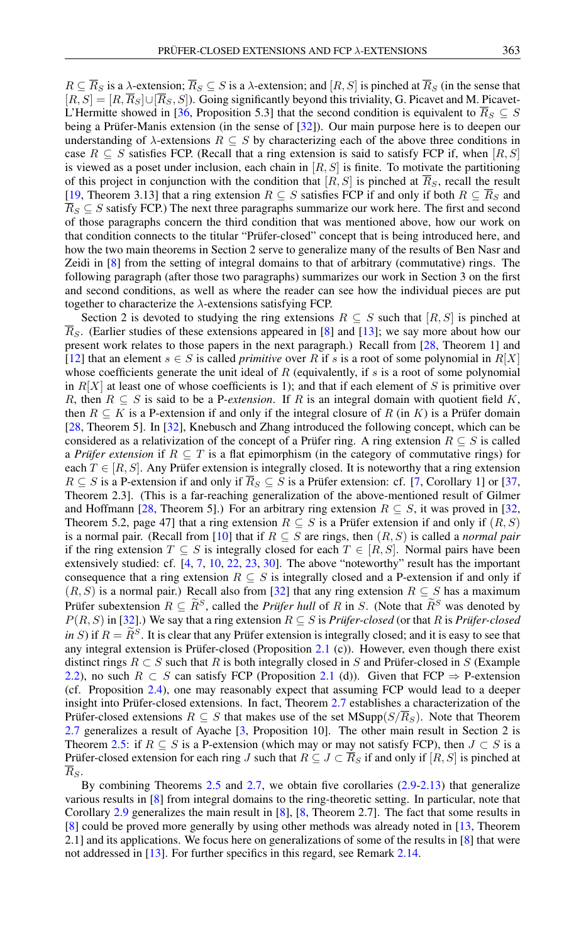$R \subseteq \overline{R}_S$  is a  $\lambda$ -extension;  $\overline{R}_S \subseteq S$  is a  $\lambda$ -extension; and  $[R, S]$  is pinched at  $\overline{R}_S$  (in the sense that  $[R, S] = [R, \overline{R}_S] \cup [\overline{R}_S, S]$ . Going significantly beyond this triviality, G. Picavet and M. Picavet-L'Hermitte showed in [\[36,](#page-15-3) Proposition 5.3] that the second condition is equivalent to  $\overline{R}_S \subseteq S$ being a Prüfer-Manis extension (in the sense of [\[32\]](#page-15-5)). Our main purpose here is to deepen our understanding of  $\lambda$ -extensions  $R \subseteq S$  by characterizing each of the above three conditions in case  $R \subseteq S$  satisfies FCP. (Recall that a ring extension is said to satisfy FCP if, when [R, S] is viewed as a poset under inclusion, each chain in  $[R, S]$  is finite. To motivate the partitioning of this project in conjunction with the condition that  $[R, S]$  is pinched at  $\overline{R}_S$ , recall the result [\[19,](#page-15-6) Theorem 3.13] that a ring extension  $R \subseteq S$  satisfies FCP if and only if both  $R \subseteq \overline{R}_S$  and  $\overline{R}_S \subseteq S$  satisfy FCP.) The next three paragraphs summarize our work here. The first and second of those paragraphs concern the third condition that was mentioned above, how our work on that condition connects to the titular "Prüfer-closed" concept that is being introduced here, and how the two main theorems in Section 2 serve to generalize many of the results of Ben Nasr and

Zeidi in [\[8\]](#page-15-1) from the setting of integral domains to that of arbitrary (commutative) rings. The following paragraph (after those two paragraphs) summarizes our work in Section 3 on the first and second conditions, as well as where the reader can see how the individual pieces are put together to characterize the  $\lambda$ -extensions satisfying FCP.

Section 2 is devoted to studying the ring extensions  $R \subseteq S$  such that  $[R, S]$  is pinched at  $R<sub>S</sub>$ . (Earlier studies of these extensions appeared in [\[8\]](#page-15-1) and [\[13\]](#page-15-7); we say more about how our present work relates to those papers in the next paragraph.) Recall from [\[28,](#page-15-8) Theorem 1] and [\[12\]](#page-15-9) that an element  $s \in S$  is called *primitive* over R if s is a root of some polynomial in  $R[X]$ whose coefficients generate the unit ideal of  $R$  (equivalently, if  $s$  is a root of some polynomial in  $R[X]$  at least one of whose coefficients is 1); and that if each element of S is primitive over R, then  $R \subseteq S$  is said to be a P-*extension*. If R is an integral domain with quotient field K, then  $R \subseteq K$  is a P-extension if and only if the integral closure of R (in K) is a Prüfer domain [\[28,](#page-15-8) Theorem 5]. In [\[32\]](#page-15-5), Knebusch and Zhang introduced the following concept, which can be considered as a relativization of the concept of a Prüfer ring. A ring extension  $R \subseteq S$  is called a *Prüfer extension* if  $R \subseteq T$  is a flat epimorphism (in the category of commutative rings) for each  $T \in [R, S]$ . Any Prüfer extension is integrally closed. It is noteworthy that a ring extension  $R \subseteq S$  is a P-extension if and only if  $\overline{R}_S \subseteq S$  is a Prüfer extension: cf. [\[7,](#page-15-10) Corollary 1] or [\[37,](#page-15-11) Theorem 2.3]. (This is a far-reaching generalization of the above-mentioned result of Gilmer and Hoffmann [\[28,](#page-15-8) Theorem 5].) For an arbitrary ring extension  $R \subseteq S$ , it was proved in [\[32,](#page-15-5) Theorem 5.2, page 47] that a ring extension  $R \subseteq S$  is a Prüfer extension if and only if  $(R, S)$ is a normal pair. (Recall from [\[10\]](#page-15-12) that if  $R \subseteq S$  are rings, then  $(R, S)$  is called a *normal pair* if the ring extension  $T \subseteq S$  is integrally closed for each  $T \in [R, S]$ . Normal pairs have been extensively studied: cf. [\[4,](#page-14-2) [7,](#page-15-10) [10,](#page-15-12) [22,](#page-15-13) [23,](#page-15-14) [30\]](#page-15-15). The above "noteworthy" result has the important consequence that a ring extension  $R \subseteq S$  is integrally closed and a P-extension if and only if  $(R, S)$  is a normal pair.) Recall also from [\[32\]](#page-15-5) that any ring extension  $R \subseteq S$  has a maximum Prüfer subextension  $R \subseteq \tilde{R}^S$ , called the *Prüfer hull* of R in S. (Note that  $\tilde{R}^S$  was denoted by  $P(R, S)$  in [\[32\]](#page-15-5).) We say that a ring extension  $R \subseteq S$  is *Prüfer-closed* (or that R is *Prüfer-closed in* S) if  $R = \hat{R}^S$ . It is clear that any Prüfer extension is integrally closed; and it is easy to see that any integral extension is Prüfer-closed (Proposition [2.1](#page-2-0) (c)). However, even though there exist distinct rings  $R \subset S$  such that R is both integrally closed in S and Prüfer-closed in S (Example [2.2\)](#page-3-0), no such  $R \subset S$  can satisfy FCP (Proposition [2.1](#page-2-0) (d)). Given that FCP  $\Rightarrow$  P-extension (cf. Proposition [2.4\)](#page-3-1), one may reasonably expect that assuming FCP would lead to a deeper insight into Prüfer-closed extensions. In fact, Theorem [2.7](#page-4-0) establishes a characterization of the Prüfer-closed extensions  $R \subseteq S$  that makes use of the set MSupp( $S/R_S$ ). Note that Theorem [2.7](#page-4-0) generalizes a result of Ayache [\[3,](#page-14-1) Proposition 10]. The other main result in Section 2 is Theorem [2.5:](#page-3-2) if  $R \subseteq S$  is a P-extension (which may or may not satisfy FCP), then  $J \subset S$  is a Prüfer-closed extension for each ring J such that  $R \subseteq J \subset \overline{R}_S$  if and only if  $[R, S]$  is pinched at  $R_S$ .

By combining Theorems [2.5](#page-3-2) and [2.7,](#page-4-0) we obtain five corollaries  $(2.9-2.13)$  $(2.9-2.13)$  that generalize various results in [\[8\]](#page-15-1) from integral domains to the ring-theoretic setting. In particular, note that Corollary [2.9](#page-6-0) generalizes the main result in [\[8\]](#page-15-1), [\[8,](#page-15-1) Theorem 2.7]. The fact that some results in [\[8\]](#page-15-1) could be proved more generally by using other methods was already noted in [\[13,](#page-15-7) Theorem 2.1] and its applications. We focus here on generalizations of some of the results in [\[8\]](#page-15-1) that were not addressed in [\[13\]](#page-15-7). For further specifics in this regard, see Remark [2.14.](#page-7-1)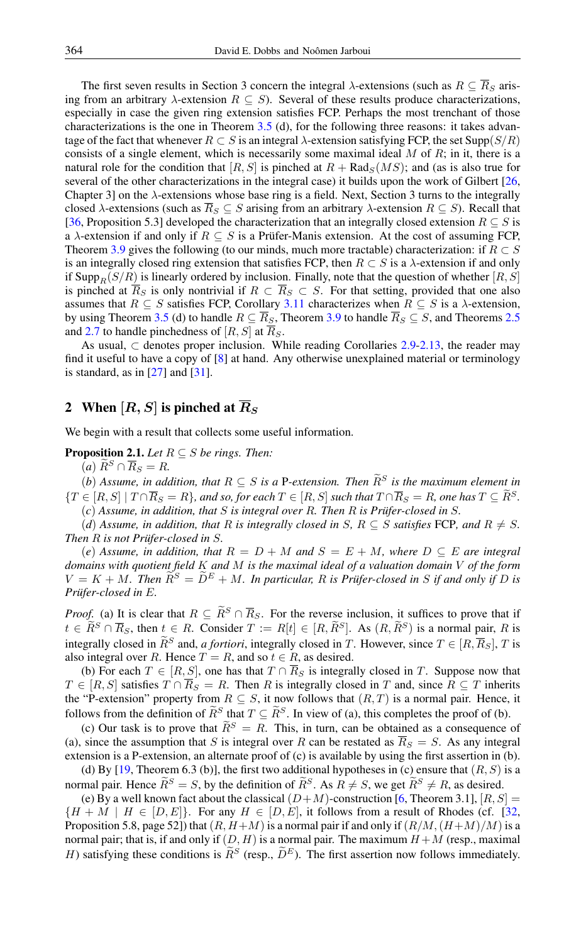The first seven results in Section 3 concern the integral  $\lambda$ -extensions (such as  $R \subseteq \overline{R}_S$  arising from an arbitrary  $\lambda$ -extension  $R \subseteq S$ ). Several of these results produce characterizations, especially in case the given ring extension satisfies FCP. Perhaps the most trenchant of those characterizations is the one in Theorem [3.5](#page-9-0) (d), for the following three reasons: it takes advantage of the fact that whenever  $R \subset S$  is an integral  $\lambda$ -extension satisfying FCP, the set Supp $(S/R)$ consists of a single element, which is necessarily some maximal ideal  $M$  of  $R$ ; in it, there is a natural role for the condition that  $[R, S]$  is pinched at  $R + \text{Rad}_{S}(MS)$ ; and (as is also true for several of the other characterizations in the integral case) it builds upon the work of Gilbert [\[26,](#page-15-2) Chapter 3] on the  $\lambda$ -extensions whose base ring is a field. Next, Section 3 turns to the integrally closed  $\lambda$ -extensions (such as  $\overline{R}_S \subseteq S$  arising from an arbitrary  $\lambda$ -extension  $R \subseteq S$ ). Recall that [\[36,](#page-15-3) Proposition 5.3] developed the characterization that an integrally closed extension  $R \subseteq S$  is a  $\lambda$ -extension if and only if  $R \subseteq S$  is a Prüfer-Manis extension. At the cost of assuming FCP, Theorem [3.9](#page-12-0) gives the following (to our minds, much more tractable) characterization: if  $R \subset S$ is an integrally closed ring extension that satisfies FCP, then  $R \subset S$  is a  $\lambda$ -extension if and only if Supp<sub>R</sub>(S/R) is linearly ordered by inclusion. Finally, note that the question of whether [R, S] is pinched at  $\overline{R}_S$  is only nontrivial if  $R \subset \overline{R}_S \subset S$ . For that setting, provided that one also assumes that  $R \subseteq S$  satisfies FCP, Corollary [3.11](#page-14-3) characterizes when  $R \subseteq S$  is a  $\lambda$ -extension, by using Theorem [3.5](#page-9-0) (d) to handle  $R \subseteq \overline{R}_S$ , Theorem [3.9](#page-12-0) to handle  $\overline{R}_S \subseteq S$ , and Theorems [2.5](#page-3-2) and [2.7](#page-4-0) to handle pinchedness of  $[R, S]$  at  $\overline{R}_S$ .

As usual,  $\subset$  denotes proper inclusion. While reading Corollaries [2.9-](#page-6-0)[2.13,](#page-7-0) the reader may find it useful to have a copy of [\[8\]](#page-15-1) at hand. Any otherwise unexplained material or terminology is standard, as in  $[27]$  and  $[31]$ .

# 2 When  $[R, S]$  is pinched at  $\overline{R}_S$

We begin with a result that collects some useful information.

<span id="page-2-0"></span>**Proposition 2.1.** *Let*  $R \subseteq S$  *be rings. Then:* 

 $(a) \widetilde{R}^S \cap \overline{R}_S = R.$ 

(*b*) Assume, in addition, that  $R \subseteq S$  is a P-extension. Then  $\widetilde{R}^S$  is the maximum element in  ${T \in [R, S] \mid T \cap \overline{R}_S = R}$ *, and so, for each*  $T \in [R, S]$  *such that*  $T \cap \overline{R}_S = R$ *, one has*  $T \subseteq \widetilde{R}^S$ *.* 

(*c*) *Assume, in addition, that* S *is integral over* R*. Then* R *is Prüfer-closed in* S*.*

(*d*) Assume, in addition, that R is integrally closed in S,  $R \subseteq S$  satisfies FCP, and  $R \neq S$ . *Then* R *is not Prüfer-closed in* S*.*

(*e*) Assume, in addition, that  $R = D + M$  and  $S = E + M$ , where  $D \subseteq E$  are integral *domains with quotient field* K *and* M *is the maximal ideal of a valuation domain* V *of the form*  $V = K + M$ . Then  $\widetilde{R}^S = \widetilde{D}^E + M$ . In particular, R is Prüfer-closed in S if and only if D is *Prüfer-closed in* E*.*

*Proof.* (a) It is clear that  $R \subseteq \widetilde{R}^S \cap \overline{R}_S$ . For the reverse inclusion, it suffices to prove that if  $t \in \widetilde{R}^S \cap \overline{R}_S$ , then  $t \in R$ . Consider  $T := R[t] \in [R, \widetilde{R}^S]$ . As  $(R, \widetilde{R}^S)$  is a normal pair, R is integrally closed in  $\widetilde{R}^S$  and, *a fortiori*, integrally closed in T. However, since  $T \in [R, \overline{R}_S]$ , T is also integral over R. Hence  $T = R$ , and so  $t \in R$ , as desired.

(b) For each  $T \in [R, S]$ , one has that  $T \cap \overline{R}_S$  is integrally closed in T. Suppose now that  $T \in [R, S]$  satisfies  $T \cap \overline{R}_S = R$ . Then R is integrally closed in T and, since  $R \subseteq T$  inherits the "P-extension" property from  $R \subseteq S$ , it now follows that  $(R, T)$  is a normal pair. Hence, it follows from the definition of  $\widetilde{R}^S$  that  $T \subseteq \widetilde{R}^S$ . In view of (a), this completes the proof of (b).

(c) Our task is to prove that  $\widetilde{R}^S = R$ . This, in turn, can be obtained as a consequence of (a), since the assumption that S is integral over R can be restated as  $\overline{R}_S = S$ . As any integral extension is a P-extension, an alternate proof of (c) is available by using the first assertion in (b).

(d) By [\[19,](#page-15-6) Theorem 6.3 (b)], the first two additional hypotheses in (c) ensure that  $(R, S)$  is a normal pair. Hence  $\widetilde{R}^S = S$ , by the definition of  $\widetilde{R}^S$ . As  $R \neq S$ , we get  $\widetilde{R}^S \neq R$ , as desired.

(e) By a well known fact about the classical  $(D+M)$ -construction [\[6,](#page-14-4) Theorem 3.1],  $[R, S] =$  ${H + M | H \in [D, E]}$ . For any  $H \in [D, E]$ , it follows from a result of Rhodes (cf. [\[32,](#page-15-5) Proposition 5.8, page 52]) that  $(R, H+M)$  is a normal pair if and only if  $(R/M, (H+M)/M)$  is a normal pair; that is, if and only if  $(D, H)$  is a normal pair. The maximum  $H + M$  (resp., maximal H) satisfying these conditions is  $\tilde{R}^S$  (resp.,  $\tilde{D}^E$ ). The first assertion now follows immediately.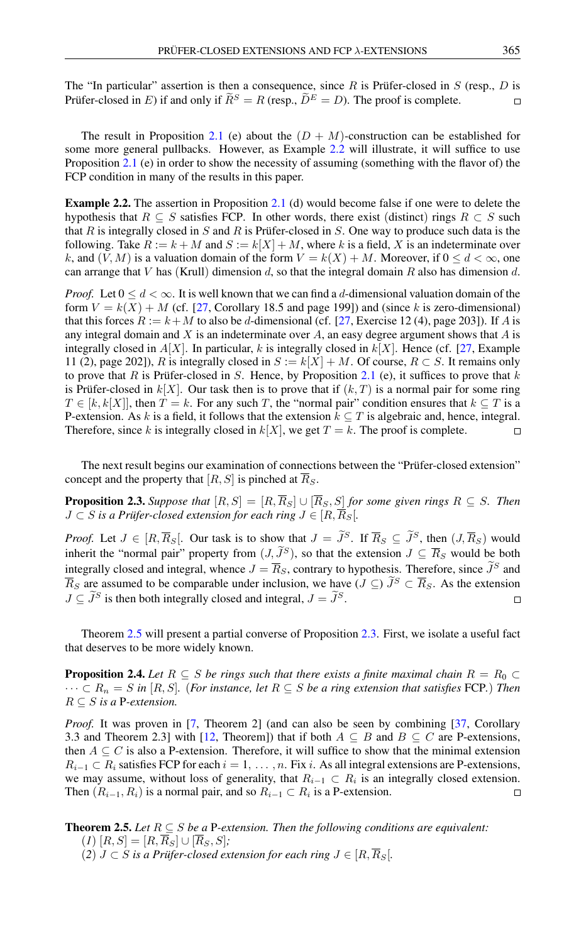The "In particular" assertion is then a consequence, since R is Prüfer-closed in  $S$  (resp., D is Prüfer-closed in E) if and only if  $\widetilde{R}^S = R$  (resp.,  $\widetilde{D}^E = D$ ). The proof is complete.  $\Box$ 

The result in Proposition [2.1](#page-2-0) (e) about the  $(D + M)$ -construction can be established for some more general pullbacks. However, as Example [2.2](#page-3-0) will illustrate, it will suffice to use Proposition [2.1](#page-2-0) (e) in order to show the necessity of assuming (something with the flavor of) the FCP condition in many of the results in this paper.

<span id="page-3-0"></span>Example 2.2. The assertion in Proposition [2.1](#page-2-0) (d) would become false if one were to delete the hypothesis that  $R \subseteq S$  satisfies FCP. In other words, there exist (distinct) rings  $R \subset S$  such that  $R$  is integrally closed in  $S$  and  $R$  is Prüfer-closed in  $S$ . One way to produce such data is the following. Take  $R := k + M$  and  $S := k[X] + M$ , where k is a field, X is an indeterminate over k, and  $(V, M)$  is a valuation domain of the form  $V = k(X) + M$ . Moreover, if  $0 \le d < \infty$ , one can arrange that V has (Krull) dimension d, so that the integral domain R also has dimension d.

*Proof.* Let  $0 \le d < \infty$ . It is well known that we can find a d-dimensional valuation domain of the form  $V = k(X) + M$  (cf. [\[27,](#page-15-16) Corollary 18.5 and page 199]) and (since k is zero-dimensional) that this forces  $R := k + M$  to also be d-dimensional (cf. [\[27,](#page-15-16) Exercise 12 (4), page 203]). If A is any integral domain and  $X$  is an indeterminate over  $A$ , an easy degree argument shows that  $A$  is integrally closed in  $A[X]$ . In particular, k is integrally closed in  $k[X]$ . Hence (cf. [\[27,](#page-15-16) Example 11 (2), page 202]), R is integrally closed in  $S := k[X] + M$ . Of course,  $R \subset S$ . It remains only to prove that R is Prüfer-closed in S. Hence, by Proposition [2.1](#page-2-0) (e), it suffices to prove that  $k$ is Prüfer-closed in  $k[X]$ . Our task then is to prove that if  $(k, T)$  is a normal pair for some ring  $T \in [k, k[X]]$ , then  $T = k$ . For any such T, the "normal pair" condition ensures that  $k \subseteq T$  is a P-extension. As k is a field, it follows that the extension  $k \subseteq T$  is algebraic and, hence, integral. Therefore, since k is integrally closed in  $k[X]$ , we get  $T = k$ . The proof is complete.  $\Box$ 

The next result begins our examination of connections between the "Prüfer-closed extension" concept and the property that [R, S] is pinched at  $\overline{R}_S$ .

<span id="page-3-3"></span>**Proposition 2.3.** Suppose that  $[R, S] = [R, \overline{R}_S] \cup [\overline{R}_S, S]$  for some given rings  $R \subseteq S$ . Then  $J \subset S$  *is a Prüfer-closed extension for each ring*  $J \in [R, \overline{R}_S]$ .

*Proof.* Let  $J \in [R, \overline{R}_S]$ . Our task is to show that  $J = \tilde{J}^S$ . If  $\overline{R}_S \subseteq \tilde{J}^S$ , then  $(J, \overline{R}_S)$  would inherit the "normal pair" property from  $(J, \tilde{J}^S)$ , so that the extension  $J \subseteq \overline{R}_S$  would be both integrally closed and integral, whence  $J = \overline{R}_S$ , contrary to hypothesis. Therefore, since  $J^S$  and  $\overline{R}_S$  are assumed to be comparable under inclusion, we have  $(J \subseteq) \widetilde{J}^S \subset \overline{R}_S$ . As the extension  $J \subset \widetilde{J}^S$  is then both integrally closed and integral,  $J = \widetilde{J}^S$ .  $J \subset \tilde{J}^S$  is then both integrally closed and integral,  $J = \tilde{J}^S$ .

Theorem [2.5](#page-3-2) will present a partial converse of Proposition [2.3.](#page-3-3) First, we isolate a useful fact that deserves to be more widely known.

<span id="page-3-1"></span>**Proposition 2.4.** Let  $R \subseteq S$  be rings such that there exists a finite maximal chain  $R = R_0 \subset I$ · · · ⊂ R<sup>n</sup> = S *in* [R, S]*.* (*For instance, let* R ⊆ S *be a ring extension that satisfies* FCP*.*) *Then*  $R \subseteq S$  *is a* P-extension.

*Proof.* It was proven in [\[7,](#page-15-10) Theorem 2] (and can also be seen by combining [\[37,](#page-15-11) Corollary 3.3 and Theorem 2.3] with [\[12,](#page-15-9) Theorem]) that if both  $A \subseteq B$  and  $B \subseteq C$  are P-extensions, then  $A \subseteq C$  is also a P-extension. Therefore, it will suffice to show that the minimal extension  $R_{i-1} \subset R_i$  satisfies FCP for each  $i = 1, \ldots, n$ . Fix i. As all integral extensions are P-extensions, we may assume, without loss of generality, that  $R_{i-1} \subset R_i$  is an integrally closed extension. Then  $(R_{i-1}, R_i)$  is a normal pair, and so  $R_{i-1} \subset R_i$  is a P-extension.  $\Box$ 

<span id="page-3-2"></span>**Theorem 2.5.** Let  $R \subseteq S$  *be a* P-extension. Then the following conditions are equivalent:  $(I)$   $[R, S] = [R, \overline{R}_S] \cup [\overline{R}_S, S]$ ; (2)  $J ⊂ S$  *is a Prüfer-closed extension for each ring*  $J ∈ [R, R_S]$ *.*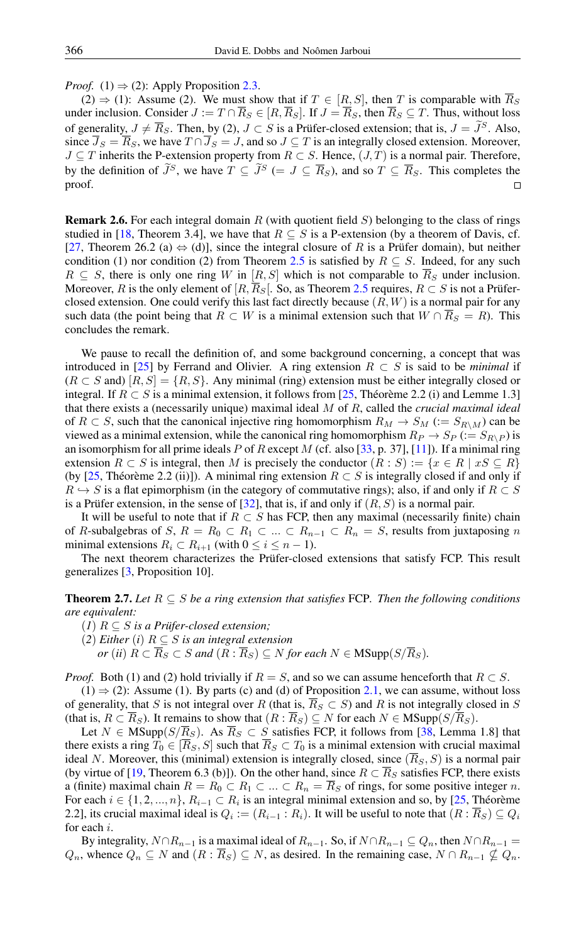*Proof.* (1)  $\Rightarrow$  (2): Apply Proposition [2.3.](#page-3-3)

 $(2) \Rightarrow (1)$ : Assume (2). We must show that if  $T \in [R, S]$ , then T is comparable with  $\overline{R}_S$ under inclusion. Consider  $J := T \cap \overline{R}_S \in [R, \overline{R}_S]$ . If  $J = \overline{R}_S$ , then  $\overline{R}_S \subseteq T$ . Thus, without loss of generality,  $J \neq \overline{R}_S$ . Then, by (2),  $J \subset S$  is a Prüfer-closed extension; that is,  $J = \tilde{J}^S$ . Also, since  $\overline{J}_S = \overline{R}_S$ , we have  $T \cap \overline{J}_S = J$ , and so  $J \subseteq T$  is an integrally closed extension. Moreover,  $J \subseteq T$  inherits the P-extension property from  $R \subset S$ . Hence,  $(J, T)$  is a normal pair. Therefore, by the definition of  $\widetilde{J}^S$ , we have  $T \subseteq \widetilde{J}^S (= J \subseteq \overline{R}_S)$ , and so  $T \subseteq \overline{R}_S$ . This completes the proof.

**Remark 2.6.** For each integral domain R (with quotient field  $S$ ) belonging to the class of rings studied in [\[18,](#page-15-17) Theorem 3.4], we have that  $R \subseteq S$  is a P-extension (by a theorem of Davis, cf. [\[27,](#page-15-16) Theorem 26.2 (a)  $\Leftrightarrow$  (d)], since the integral closure of R is a Prüfer domain), but neither condition (1) nor condition (2) from Theorem [2.5](#page-3-2) is satisfied by  $R \subseteq S$ . Indeed, for any such  $R \subseteq S$ , there is only one ring W in  $[R, S]$  which is not comparable to  $\overline{R}_S$  under inclusion. Moreover, R is the only element of  $[R, \overline{R}_S]$ . So, as Theorem [2.5](#page-3-2) requires,  $R \subset S$  is not a Prüferclosed extension. One could verify this last fact directly because  $(R, W)$  is a normal pair for any such data (the point being that  $R \subset W$  is a minimal extension such that  $W \cap \overline{R}_S = R$ ). This concludes the remark.

We pause to recall the definition of, and some background concerning, a concept that was introduced in [\[25\]](#page-15-4) by Ferrand and Olivier. A ring extension  $R \subset S$  is said to be *minimal* if  $(R \subset S$  and)  $[R, S] = \{R, S\}$ . Any minimal (ring) extension must be either integrally closed or integral. If  $R \subset S$  is a minimal extension, it follows from [\[25,](#page-15-4) Théorème 2.2 (i) and Lemme 1.3] that there exists a (necessarily unique) maximal ideal M of R, called the *crucial maximal ideal* of  $R \subset S$ , such that the canonical injective ring homomorphism  $R_M \to S_M$  ( $:= S_{R\setminus M}$ ) can be viewed as a minimal extension, while the canonical ring homomorphism  $R_P \rightarrow S_P := S_{R\setminus P}$  is an isomorphism for all prime ideals P of R except M (cf. also [\[33,](#page-15-18) p. 37], [\[11\]](#page-15-19)). If a minimal ring extension  $R \subset S$  is integral, then M is precisely the conductor  $(R : S) := \{x \in R \mid xS \subseteq R\}$ (by [\[25,](#page-15-4) Théorème 2.2 (ii)]). A minimal ring extension  $R \subset S$  is integrally closed if and only if  $R \hookrightarrow S$  is a flat epimorphism (in the category of commutative rings); also, if and only if  $R \subset S$ is a Prüfer extension, in the sense of  $[32]$ , that is, if and only if  $(R, S)$  is a normal pair.

It will be useful to note that if  $R \subset S$  has FCP, then any maximal (necessarily finite) chain of R-subalgebras of S,  $R = R_0 \subset R_1 \subset ... \subset R_{n-1} \subset R_n = S$ , results from juxtaposing n minimal extensions  $R_i \subset R_{i+1}$  (with  $0 \le i \le n-1$ ).

The next theorem characterizes the Prüfer-closed extensions that satisfy FCP. This result generalizes [\[3,](#page-14-1) Proposition 10].

<span id="page-4-0"></span>**Theorem 2.7.** *Let*  $R ⊆ S$  *be a ring extension that satisfies* FCP*. Then the following conditions are equivalent:*

- (*1*) R ⊆ S *is a Prüfer-closed extension;*
- (2) *Either* (*i*)  $R \subseteq S$  *is an integral extension* 
	- *or* (*ii*)  $R \subset \overline{R}_S \subset S$  *and*  $(R : \overline{R}_S) \subseteq N$  *for each*  $N \in \mathbf{MSupp}(S/\overline{R}_S)$ *.*

*Proof.* Both (1) and (2) hold trivially if  $R = S$ , and so we can assume henceforth that  $R \subset S$ .

 $(1) \Rightarrow (2)$ : Assume (1). By parts (c) and (d) of Proposition [2.1,](#page-2-0) we can assume, without loss of generality, that S is not integral over R (that is,  $\overline{R}_S \subset S$ ) and R is not integrally closed in S (that is,  $R \subset \overline{R}_S$ ). It remains to show that  $(R : \overline{R}_S) \subseteq N$  for each  $N \in MSupp(S/\overline{R}_S)$ .

Let  $N \in \text{MSupp}(S/\overline{R}_S)$ . As  $\overline{R}_S \subset S$  satisfies FCP, it follows from [\[38,](#page-16-0) Lemma 1.8] that there exists a ring  $T_0 \in [\overline{R}_S, S]$  such that  $\overline{R}_S \subset T_0$  is a minimal extension with crucial maximal ideal N. Moreover, this (minimal) extension is integrally closed, since  $(\overline{R}_S, S)$  is a normal pair (by virtue of [\[19,](#page-15-6) Theorem 6.3 (b)]). On the other hand, since  $R \subset \overline{R}_S$  satisfies FCP, there exists a (finite) maximal chain  $R = R_0 \subset R_1 \subset ... \subset R_n = \overline{R}_S$  of rings, for some positive integer n. For each  $i \in \{1, 2, ..., n\}$ ,  $R_{i-1} \subset R_i$  is an integral minimal extension and so, by [\[25,](#page-15-4) Théorème 2.2], its crucial maximal ideal is  $Q_i := (R_{i-1} : R_i)$ . It will be useful to note that  $(R : \overline{R}_S) \subseteq Q_i$ for each i.

By integrality,  $N \cap R_{n-1}$  is a maximal ideal of  $R_{n-1}$ . So, if  $N \cap R_{n-1} \subseteq Q_n$ , then  $N \cap R_{n-1} =$  $Q_n$ , whence  $Q_n \subseteq N$  and  $(R: R_S) \subseteq N$ , as desired. In the remaining case,  $N \cap R_{n-1} \nsubseteq Q_n$ .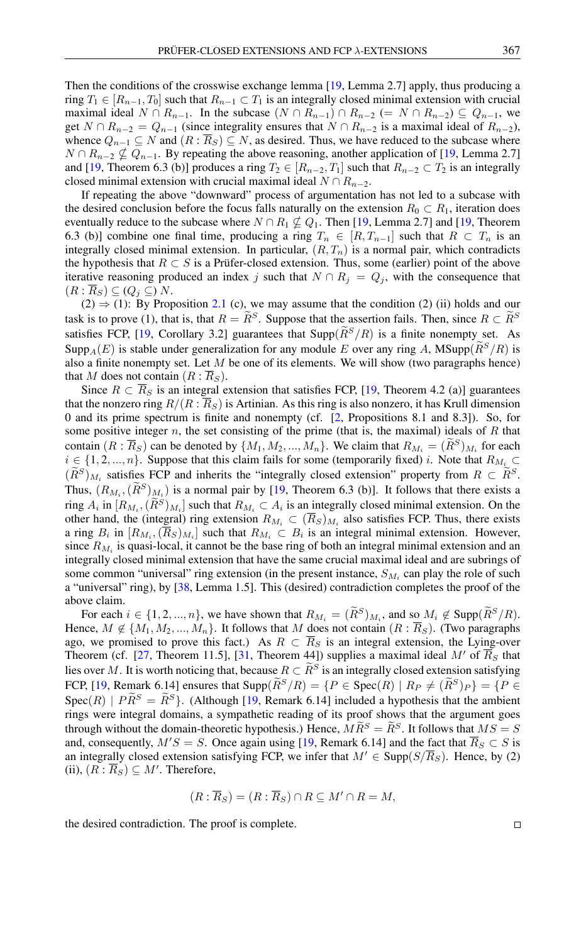Then the conditions of the crosswise exchange lemma [\[19,](#page-15-6) Lemma 2.7] apply, thus producing a ring  $T_1 \in [R_{n-1}, T_0]$  such that  $R_{n-1} \subset T_1$  is an integrally closed minimal extension with crucial maximal ideal  $N \cap R_{n-1}$ . In the subcase  $(N \cap R_{n-1}) \cap R_{n-2} (= N \cap R_{n-2}) \subseteq Q_{n-1}$ , we get  $N \cap R_{n-2} = Q_{n-1}$  (since integrality ensures that  $N \cap R_{n-2}$  is a maximal ideal of  $R_{n-2}$ ), whence  $Q_{n-1} \subseteq N$  and  $(R : \overline{R}_S) \subseteq N$ , as desired. Thus, we have reduced to the subcase where  $N \cap R_{n-2} \nsubseteq Q_{n-1}$ . By repeating the above reasoning, another application of [\[19,](#page-15-6) Lemma 2.7] and [\[19,](#page-15-6) Theorem 6.3 (b)] produces a ring  $T_2 \in [R_{n-2}, T_1]$  such that  $R_{n-2} \subset T_2$  is an integrally closed minimal extension with crucial maximal ideal  $N \cap R_{n-2}$ .

If repeating the above "downward" process of argumentation has not led to a subcase with the desired conclusion before the focus falls naturally on the extension  $R_0 \subset R_1$ , iteration does eventually reduce to the subcase where  $N \cap R_1 \nsubseteq Q_1$ . Then [\[19,](#page-15-6) Lemma 2.7] and [19, Theorem 6.3 (b)] combine one final time, producing a ring  $T_n \in [R, T_{n-1}]$  such that  $R \subset T_n$  is an integrally closed minimal extension. In particular,  $(R, T_n)$  is a normal pair, which contradicts the hypothesis that  $R \subset S$  is a Prüfer-closed extension. Thus, some (earlier) point of the above iterative reasoning produced an index j such that  $N \cap R_j = Q_j$ , with the consequence that  $(R: R_S) \subseteq (Q_i \subseteq) N$ .

 $(2) \Rightarrow (1)$ : By Proposition [2.1](#page-2-0) (c), we may assume that the condition (2) (ii) holds and our task is to prove (1), that is, that  $R = \tilde{R}^S$ . Suppose that the assertion fails. Then, since  $R \subset \tilde{R}^S$ satisfies FCP, [\[19,](#page-15-6) Corollary 3.2] guarantees that  $\text{Supp}(\widetilde{R}^S/R)$  is a finite nonempty set. As Supp<sub>A</sub>(E) is stable under generalization for any module E over any ring A, MSupp $(\widetilde{R}^S/R)$  is also a finite nonempty set. Let  $M$  be one of its elements. We will show (two paragraphs hence) that M does not contain  $(R: R<sub>S</sub>)$ .

Since  $R \subset \overline{R}_S$  is an integral extension that satisfies FCP, [\[19,](#page-15-6) Theorem 4.2 (a)] guarantees that the nonzero ring  $R/(R : \overline{R}_S)$  is Artinian. As this ring is also nonzero, it has Krull dimension 0 and its prime spectrum is finite and nonempty (cf. [\[2,](#page-14-5) Propositions 8.1 and 8.3]). So, for some positive integer  $n$ , the set consisting of the prime (that is, the maximal) ideals of  $R$  that contain  $(R : \overline{R}_S)$  can be denoted by  $\{M_1, M_2, ..., M_n\}$ . We claim that  $R_{M_i} = (R^S)_{M_i}$  for each  $i \in \{1, 2, ..., n\}$ . Suppose that this claim fails for some (temporarily fixed) i. Note that  $R_{M_i} \subset$  $(R^S)_{M_i}$  satisfies FCP and inherits the "integrally closed extension" property from  $R \subset R^S$ . Thus,  $(R_{M_i}, (\overline{R}^S)_{M_i})$  is a normal pair by [\[19,](#page-15-6) Theorem 6.3 (b)]. It follows that there exists a ring  $A_i$  in  $[R_{M_i}, (R^S)_{M_i}]$  such that  $R_{M_i} \subset A_i$  is an integrally closed minimal extension. On the other hand, the (integral) ring extension  $R_{M_i} \subset (R_S)_{M_i}$  also satisfies FCP. Thus, there exists a ring  $B_i$  in  $[R_{M_i}, (R_S)_{M_i}]$  such that  $R_{M_i} \subset B_i$  is an integral minimal extension. However, since  $R_{M_i}$  is quasi-local, it cannot be the base ring of both an integral minimal extension and an integrally closed minimal extension that have the same crucial maximal ideal and are subrings of some common "universal" ring extension (in the present instance,  $S_{M_i}$  can play the role of such a "universal" ring), by [\[38,](#page-16-0) Lemma 1.5]. This (desired) contradiction completes the proof of the above claim.

For each  $i \in \{1, 2, ..., n\}$ , we have shown that  $R_{M_i} = (R^S)_{M_i}$ , and so  $M_i \notin \text{Supp}(R^S/R)$ . Hence,  $M \notin \{M_1, M_2, ..., M_n\}$ . It follows that M does not contain  $(R : \overline{R}_S)$ . (Two paragraphs ago, we promised to prove this fact.) As  $R \subset \overline{R}_S$  is an integral extension, the Lying-over Theorem (cf. [\[27,](#page-15-16) Theorem 11.5], [\[31,](#page-15-0) Theorem 44]) supplies a maximal ideal M' of  $\overline{R}_S$  that lies over M. It is worth noticing that, because  $R \subset \tilde{R}^S$  is an integrally closed extension satisfying FCP, [\[19,](#page-15-6) Remark 6.14] ensures that  $\text{Supp}(\tilde{R}^S/R) = \{P \in \text{Spec}(R) \mid R_P \neq (\tilde{R}^S)P\} = \{P \in \text{Spec}(R) \mid R_P \neq \tilde{R}^S\}$  $Spec(R)$  |  $\tilde{PR}^S = \tilde{R}^S$ }. (Although [\[19,](#page-15-6) Remark 6.14] included a hypothesis that the ambient rings were integral domains, a sympathetic reading of its proof shows that the argument goes through without the domain-theoretic hypothesis.) Hence,  $M\widetilde{R}^S = \widetilde{R}^S$ . It follows that  $MS = S$ and, consequently,  $M'S = S$ . Once again using [\[19,](#page-15-6) Remark 6.14] and the fact that  $\overline{R}_S \subset S$  is an integrally closed extension satisfying FCP, we infer that  $M' \in \text{Supp}(S/\overline{R}_S)$ . Hence, by (2) (ii),  $(R : \overline{R}_S) \subseteq M'$ . Therefore,

$$
(R:\overline{R}_S)=(R:\overline{R}_S)\cap R\subseteq M'\cap R=M,
$$

the desired contradiction. The proof is complete.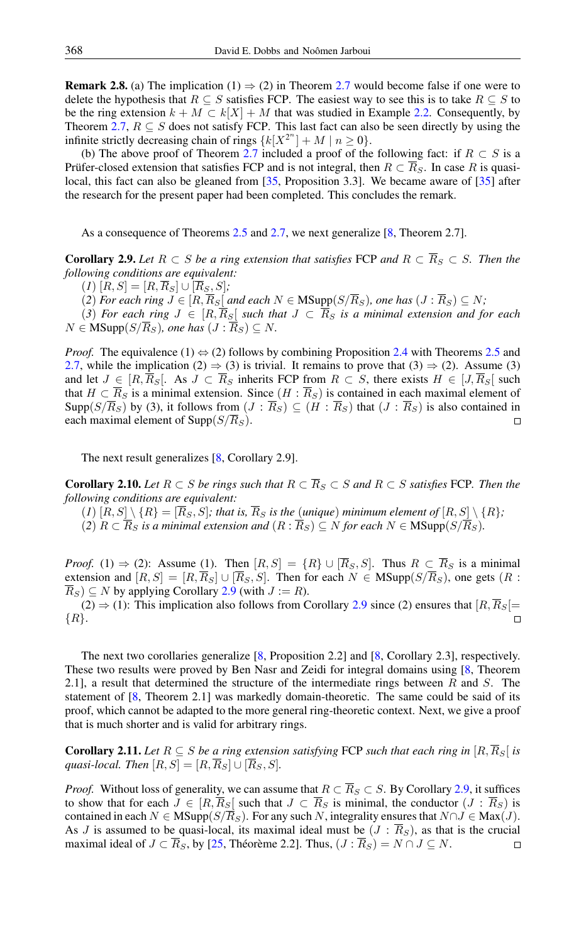**Remark 2.8.** (a) The implication (1)  $\Rightarrow$  (2) in Theorem [2.7](#page-4-0) would become false if one were to delete the hypothesis that  $R \subseteq S$  satisfies FCP. The easiest way to see this is to take  $R \subseteq S$  to be the ring extension  $k + M \subset k[X] + M$  that was studied in Example [2.2.](#page-3-0) Consequently, by Theorem [2.7,](#page-4-0)  $R \subseteq S$  does not satisfy FCP. This last fact can also be seen directly by using the infinite strictly decreasing chain of rings  $\{k[X^{2^n}] + M \mid n \ge 0\}.$ 

(b) The above proof of Theorem [2.7](#page-4-0) included a proof of the following fact: if  $R \subset S$  is a Prüfer-closed extension that satisfies FCP and is not integral, then  $R \subset \overline{R}_S$ . In case R is quasi-local, this fact can also be gleaned from [\[35,](#page-15-20) Proposition 3.3]. We became aware of [\[35\]](#page-15-20) after the research for the present paper had been completed. This concludes the remark.

As a consequence of Theorems [2.5](#page-3-2) and [2.7,](#page-4-0) we next generalize [\[8,](#page-15-1) Theorem 2.7].

<span id="page-6-0"></span>**Corollary 2.9.** Let  $R \subset S$  be a ring extension that satisfies FCP and  $R \subset \overline{R}_S \subset S$ . Then the *following conditions are equivalent:*

 $(I)$   $[R, S] = [R, \overline{R}_S] \cup [\overline{R}_S, S]$ ;

 $(2)$  *For each ring*  $J ∈ [R, \overline{R}_S]$  *and each*  $N ∈ \text{MSupp}(S/\overline{R}_S)$ *, one has*  $(J : \overline{R}_S) ⊆ N$ *;* 

(3) For each ring  $J \in [R, \overline{R}_S]$  such that  $J \subset \overline{R}_S$  is a minimal extension and for each  $N \in \text{MSupp}(S/\overline{R}_S)$ *, one has*  $(J : \overline{R}_S) \subseteq N$ *.* 

*Proof.* The equivalence (1)  $\Leftrightarrow$  (2) follows by combining Proposition [2.4](#page-3-1) with Theorems [2.5](#page-3-2) and [2.7,](#page-4-0) while the implication (2)  $\Rightarrow$  (3) is trivial. It remains to prove that (3)  $\Rightarrow$  (2). Assume (3) and let  $J \in [R, \overline{R}_S]$ . As  $J \subset \overline{R}_S$  inherits FCP from  $R \subset S$ , there exists  $H \in [J, \overline{R}_S]$  such that  $H \subset \overline{R}_S$  is a minimal extension. Since  $(H : \overline{R}_S)$  is contained in each maximal element of Supp( $S/\overline{R}_S$ ) by (3), it follows from  $(J : \overline{R}_S) \subseteq (H : \overline{R}_S)$  that  $(J : \overline{R}_S)$  is also contained in each maximal element of  $\text{Supp}(S/\overline{R}_S)$ .  $\Box$ 

The next result generalizes [\[8,](#page-15-1) Corollary 2.9].

**Corollary 2.10.** *Let*  $R ⊂ S$  *be rings such that*  $R ⊂ \overline{R}_S ⊂ S$  *and*  $R ⊂ S$  *satisfies* FCP. *Then the following conditions are equivalent:*

- $(1)$   $[R, S] \setminus \{R\} = [\overline{R}_S, S]$ ; that is,  $\overline{R}_S$  is the (unique) minimum element of  $[R, S] \setminus \{R\}$ ;
- (2)  $R \subset \overline{R}_S$  *is a minimal extension and*  $(R : \overline{R}_S) \subseteq N$  *for each*  $N \in MSupp(S/\overline{R}_S)$ *.*

*Proof.* (1)  $\Rightarrow$  (2): Assume (1). Then  $[R, S] = \{R\} \cup [\overline{R}_S, S]$ . Thus  $R \subset \overline{R}_S$  is a minimal extension and  $[R, S] = [R, \overline{R}_S] \cup [\overline{R}_S, S]$ . Then for each  $N \in \text{MSupp}(S/\overline{R}_S)$ , one gets  $(R :$  $\overline{R}_S$ )  $\subseteq$  N by applying Corollary [2.9](#page-6-0) (with  $J := R$ ).

(2)  $\Rightarrow$  (1): This implication also follows from Corollary [2.9](#page-6-0) since (2) ensures that  $[R, \overline{R}_S$  =  $\{R\}.$  $\Box$ 

The next two corollaries generalize [\[8,](#page-15-1) Proposition 2.2] and [\[8,](#page-15-1) Corollary 2.3], respectively. These two results were proved by Ben Nasr and Zeidi for integral domains using [\[8,](#page-15-1) Theorem 2.1], a result that determined the structure of the intermediate rings between  $R$  and  $S$ . The statement of [\[8,](#page-15-1) Theorem 2.1] was markedly domain-theoretic. The same could be said of its proof, which cannot be adapted to the more general ring-theoretic context. Next, we give a proof that is much shorter and is valid for arbitrary rings.

<span id="page-6-1"></span>**Corollary 2.11.** Let  $R \subseteq S$  be a ring extension satisfying FCP such that each ring in  $[R, \overline{R}_S]$  is *quasi-local. Then*  $[R, S] = [R, \overline{R}_S] \cup [\overline{R}_S, S]$ .

*Proof.* Without loss of generality, we can assume that  $R \subset \overline{R}_S \subset S$ . By Corollary [2.9,](#page-6-0) it suffices to show that for each  $J \in [R, \overline{R}_S]$  such that  $J \subset \overline{R}_S$  is minimal, the conductor  $(J : \overline{R}_S)$  is contained in each  $N \in \text{MSupp}(S/\overline{R}_S)$ . For any such N, integrality ensures that  $N \cap J \in \text{Max}(J)$ . As J is assumed to be quasi-local, its maximal ideal must be  $(J : \overline{R}_S)$ , as that is the crucial maximal ideal of  $J \subset \overline{R}_S$ , by [\[25,](#page-15-4) Théorème 2.2]. Thus,  $(J : \overline{R}_S) = N \cap J \subseteq N$ .  $\Box$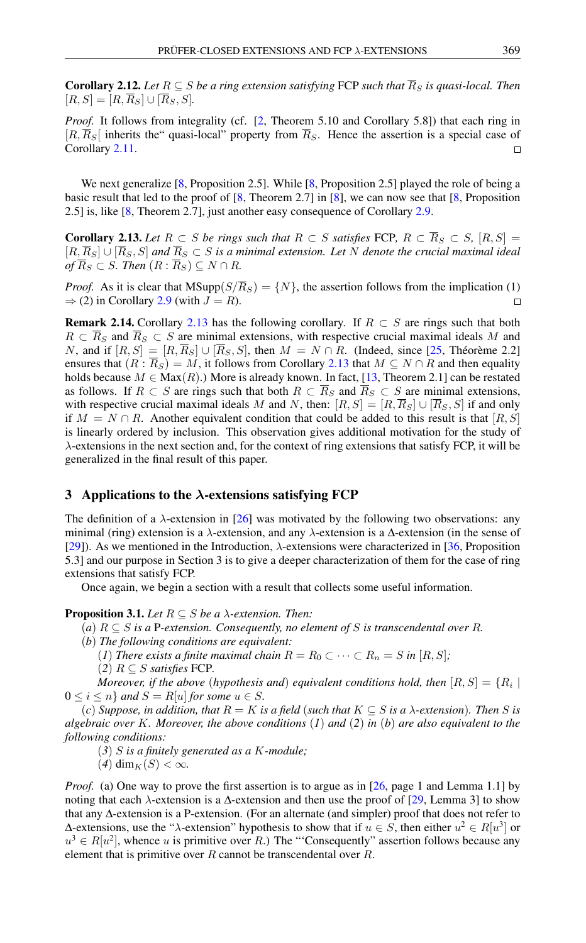**Corollary 2.12.** Let  $R \subseteq S$  be a ring extension satisfying FCP such that  $\overline{R}_S$  is quasi-local. Then  $[R, S] = [R, \overline{R}_S] \cup [\overline{R}_S, S].$ 

*Proof.* It follows from integrality (cf. [\[2,](#page-14-5) Theorem 5.10 and Corollary 5.8]) that each ring in  $[R, \overline{R}_S]$  inherits the "quasi-local" property from  $\overline{R}_S$ . Hence the assertion is a special case of Corollary [2.11.](#page-6-1)  $\Box$ 

We next generalize [\[8,](#page-15-1) Proposition 2.5]. While [8, Proposition 2.5] played the role of being a basic result that led to the proof of [\[8,](#page-15-1) Theorem 2.7] in [\[8\]](#page-15-1), we can now see that [\[8,](#page-15-1) Proposition 2.5] is, like [\[8,](#page-15-1) Theorem 2.7], just another easy consequence of Corollary [2.9.](#page-6-0)

<span id="page-7-0"></span>**Corollary 2.13.** Let  $R \subset S$  be rings such that  $R \subset S$  satisfies FCP,  $R \subset \overline{R}_S \subset S$ ,  $[R, S] =$  $[R,\overline{R}_S] \cup [\overline{R}_S,S]$  and  $\overline{R}_S \subset S$  is a minimal extension. Let N denote the crucial maximal ideal  $of \overline{R}_S \subset S$ *. Then*  $(R : \overline{R}_S) \subseteq N \cap R$ *.* 

*Proof.* As it is clear that  $MSupp(S/\overline{R}_S) = \{N\}$ , the assertion follows from the implication (1)  $\Rightarrow$  (2) in Corollary [2.9](#page-6-0) (with  $J = R$ ).  $\Box$ 

<span id="page-7-1"></span>**Remark 2.14.** Corollary [2.13](#page-7-0) has the following corollary. If  $R \subset S$  are rings such that both  $R \subset \overline{R}_S$  and  $\overline{R}_S \subset S$  are minimal extensions, with respective crucial maximal ideals M and N, and if  $[R, S] = [R, \overline{R}_S] \cup [\overline{R}_S, S]$ , then  $M = N \cap R$ . (Indeed, since [\[25,](#page-15-4) Théorème 2.2] ensures that  $(R : \overline{R}_S) = M$ , it follows from Corollary [2.13](#page-7-0) that  $M \subseteq N \cap R$  and then equality holds because  $M \in \text{Max}(R)$ .) More is already known. In fact, [\[13,](#page-15-7) Theorem 2.1] can be restated as follows. If  $R \subset S$  are rings such that both  $R \subset \overline{R}_S$  and  $\overline{R}_S \subset S$  are minimal extensions, with respective crucial maximal ideals M and N, then:  $[R, S] = [R, \overline{R}_S] \cup [\overline{R}_S, S]$  if and only if  $M = N \cap R$ . Another equivalent condition that could be added to this result is that [R, S] is linearly ordered by inclusion. This observation gives additional motivation for the study of  $\lambda$ -extensions in the next section and, for the context of ring extensions that satisfy FCP, it will be generalized in the final result of this paper.

## 3 Applications to the  $\lambda$ -extensions satisfying FCP

The definition of a  $\lambda$ -extension in [\[26\]](#page-15-2) was motivated by the following two observations: any minimal (ring) extension is a  $\lambda$ -extension, and any  $\lambda$ -extension is a  $\Delta$ -extension (in the sense of [\[29\]](#page-15-21)). As we mentioned in the Introduction,  $\lambda$ -extensions were characterized in [\[36,](#page-15-3) Proposition] 5.3] and our purpose in Section 3 is to give a deeper characterization of them for the case of ring extensions that satisfy FCP.

Once again, we begin a section with a result that collects some useful information.

## <span id="page-7-2"></span>**Proposition 3.1.** *Let*  $R \subseteq S$  *be a*  $\lambda$ *-extension. Then:*

- (*a*)  $R \subseteq S$  *is a* P-extension. Consequently, no element of S is transcendental over R.
- (*b*) *The following conditions are equivalent:*
	- (*1*) *There exists a finite maximal chain*  $R = R_0 \subset \cdots \subset R_n = S$  *in*  $[R, S]$ *;*  $(2)$   $R \subseteq S$  *satisfies* FCP.

*Moreover, if the above (hypothesis and) equivalent conditions hold, then*  $[R,S] = \{R_i \mid$  $0 \leq i \leq n$  *and*  $S = R[u]$  *for some*  $u \in S$ *.* 

 $f(c)$  *Suppose, in addition, that*  $R = K$  *is a field (such that*  $K \subseteq S$  *is a*  $\lambda$ *-extension). Then* S *is algebraic over* K*. Moreover, the above conditions* (*1*) *and* (*2*) *in* (*b*) *are also equivalent to the following conditions:*

- (*3*) S *is a finitely generated as a* K*-module;*
- $(4)$  dim<sub>K</sub> $(S) < \infty$ .

*Proof.* (a) One way to prove the first assertion is to argue as in [\[26,](#page-15-2) page 1 and Lemma 1.1] by noting that each  $\lambda$ -extension is a  $\Delta$ -extension and then use the proof of [\[29,](#page-15-21) Lemma 3] to show that any ∆-extension is a P-extension. (For an alternate (and simpler) proof that does not refer to Δ-extensions, use the "λ-extension" hypothesis to show that if  $u \in S$ , then either  $u^2 \in R[u^3]$  or  $u^3 \in R[u^2]$ , whence u is primitive over R.) The "Consequently" assertion follows because any element that is primitive over  $R$  cannot be transcendental over  $R$ .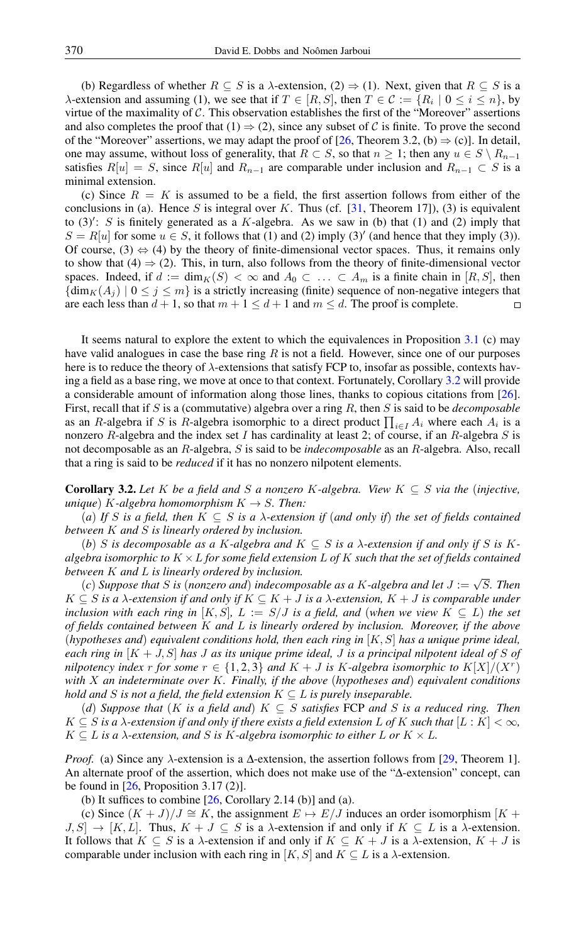(b) Regardless of whether  $R \subseteq S$  is a  $\lambda$ -extension, (2)  $\Rightarrow$  (1). Next, given that  $R \subseteq S$  is a  $\lambda$ -extension and assuming (1), we see that if  $T \in [R, S]$ , then  $T \in \mathcal{C} := \{R_i \mid 0 \le i \le n\}$ , by virtue of the maximality of  $C$ . This observation establishes the first of the "Moreover" assertions and also completes the proof that  $(1) \Rightarrow (2)$ , since any subset of C is finite. To prove the second of the "Moreover" assertions, we may adapt the proof of [\[26,](#page-15-2) Theorem 3.2, (b)  $\Rightarrow$  (c)]. In detail, one may assume, without loss of generality, that  $R \subset S$ , so that  $n \geq 1$ ; then any  $u \in S \setminus R_{n-1}$ satisfies  $R[u] = S$ , since  $R[u]$  and  $R_{n-1}$  are comparable under inclusion and  $R_{n-1} \subset S$  is a minimal extension.

(c) Since  $R = K$  is assumed to be a field, the first assertion follows from either of the conclusions in (a). Hence S is integral over K. Thus (cf.  $[31,$  Theorem 17]), (3) is equivalent to  $(3)'$ : S is finitely generated as a K-algebra. As we saw in (b) that (1) and (2) imply that  $S = R[u]$  for some  $u \in S$ , it follows that (1) and (2) imply (3)' (and hence that they imply (3)). Of course,  $(3) \Leftrightarrow (4)$  by the theory of finite-dimensional vector spaces. Thus, it remains only to show that (4)  $\Rightarrow$  (2). This, in turn, also follows from the theory of finite-dimensional vector spaces. Indeed, if  $d := \dim_K(S) < \infty$  and  $A_0 \subset \ldots \subset A_m$  is a finite chain in  $[R, S]$ , then  ${\dim_K(A_i) \mid 0 \leq j \leq m}$  is a strictly increasing (finite) sequence of non-negative integers that are each less than  $d + 1$ , so that  $m + 1 \leq d + 1$  and  $m \leq d$ . The proof is complete.  $\Box$ 

It seems natural to explore the extent to which the equivalences in Proposition [3.1](#page-7-2) (c) may have valid analogues in case the base ring  $R$  is not a field. However, since one of our purposes here is to reduce the theory of  $\lambda$ -extensions that satisfy FCP to, insofar as possible, contexts having a field as a base ring, we move at once to that context. Fortunately, Corollary [3.2](#page-8-0) will provide a considerable amount of information along those lines, thanks to copious citations from [\[26\]](#page-15-2). First, recall that if S is a (commutative) algebra over a ring R, then S is said to be *decomposable* as an R-algebra if S is R-algebra isomorphic to a direct product  $\prod_{i \in I} A_i$  where each  $A_i$  is a nonzero R-algebra and the index set I has cardinality at least 2; of course, if an R-algebra  $S$  is not decomposable as an R-algebra, S is said to be *indecomposable* as an R-algebra. Also, recall that a ring is said to be *reduced* if it has no nonzero nilpotent elements.

<span id="page-8-0"></span>**Corollary 3.2.** Let K be a field and S a nonzero K-algebra. View  $K \subseteq S$  via the (injective, *unique*) *K*-*algebra homomorphism*  $K \rightarrow S$ *. Then:* 

(*a*) If S is a field, then  $K \subseteq S$  is a  $\lambda$ -extension if (and only if) the set of fields contained *between* K *and* S *is linearly ordered by inclusion.*

(*b*) S is decomposable as a K-algebra and  $K \subseteq S$  is a  $\lambda$ -extension if and only if S is K*algebra isomorphic to* K ×L *for some field extension* L *of* K *such that the set of fields contained between* K *and* L *is linearly ordered by inclusion.* √

(*c*) *Suppose that* S *is* (*nonzero and*) *indecomposable as a* K*-algebra and let* J := S*. Then* K ⊆ S *is a* λ*-extension if and only if* K ⊆ K + J *is a* λ*-extension,* K + J *is comparable under inclusion with each ring in*  $[K, S]$ *,*  $L := S/J$  *is a field, and (when we view*  $K \subseteq L$ ) *the set of fields contained between* K *and* L *is linearly ordered by inclusion. Moreover, if the above* (*hypotheses and*) *equivalent conditions hold, then each ring in* [K, S] *has a unique prime ideal, each ring in* [K + J, S] *has* J *as its unique prime ideal,* J *is a principal nilpotent ideal of* S *of nilpotency index* r for some  $r \in \{1, 2, 3\}$  and  $K + J$  is K-algebra isomorphic to  $K[X]/(X^r)$ *with* X *an indeterminate over* K*. Finally, if the above* (*hypotheses and*) *equivalent conditions hold and* S *is not a field, the field extension*  $K \subseteq L$  *is purely inseparable.* 

(*d*) *Suppose that* (K *is a field and*) K ⊆ S *satisfies* FCP *and* S *is a reduced ring. Then*  $K \subseteq S$  *is a*  $\lambda$ -extension if and only if there exists a field extension L of K such that  $|L: K| < \infty$ ,  $K \subseteq L$  *is a*  $\lambda$ -extension, and S is K-algebra isomorphic to either L or  $K \times L$ .

*Proof.* (a) Since any  $λ$ -extension is a Δ-extension, the assertion follows from [\[29,](#page-15-21) Theorem 1]. An alternate proof of the assertion, which does not make use of the "∆-extension" concept, can be found in  $[26,$  Proposition 3.17 (2)].

(b) It suffices to combine  $[26,$  Corollary 2.14 (b)] and (a).

(c) Since  $(K + J)/J \cong K$ , the assignment  $E \mapsto E/J$  induces an order isomorphism  $[K + J]/J \cong K$  $J, S] \rightarrow [K, L]$ . Thus,  $K + J \subseteq S$  is a  $\lambda$ -extension if and only if  $K \subseteq L$  is a  $\lambda$ -extension. It follows that  $K \subseteq S$  is a  $\lambda$ -extension if and only if  $K \subseteq K + J$  is a  $\lambda$ -extension,  $K + J$  is comparable under inclusion with each ring in [K, S] and  $K \subseteq L$  is a  $\lambda$ -extension.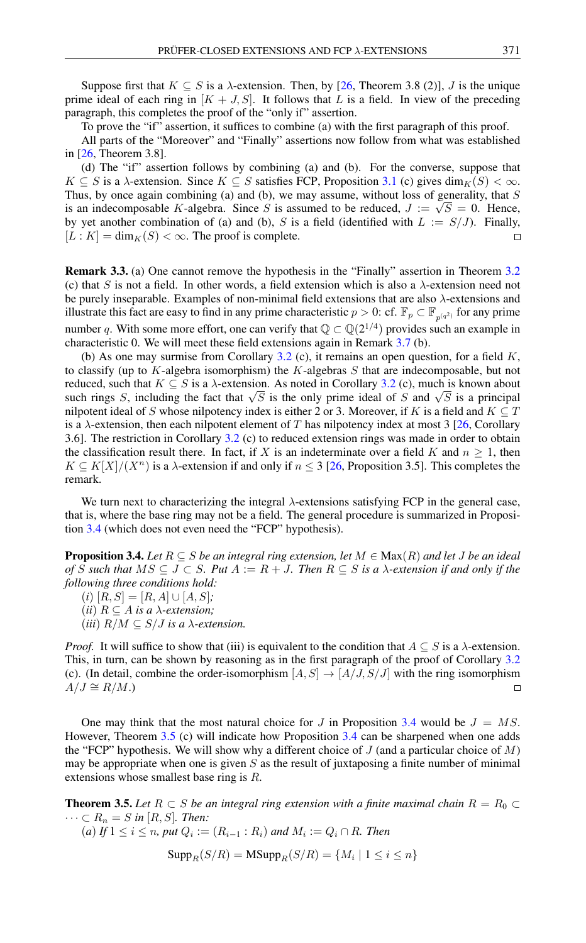Suppose first that  $K \subseteq S$  is a  $\lambda$ -extension. Then, by [\[26,](#page-15-2) Theorem 3.8 (2)], J is the unique prime ideal of each ring in  $[K + J, S]$ . It follows that L is a field. In view of the preceding paragraph, this completes the proof of the "only if" assertion.

To prove the "if" assertion, it suffices to combine (a) with the first paragraph of this proof.

All parts of the "Moreover" and "Finally" assertions now follow from what was established in [\[26,](#page-15-2) Theorem 3.8].

(d) The "if" assertion follows by combining (a) and (b). For the converse, suppose that  $K \subseteq S$  is a  $\lambda$ -extension. Since  $K \subseteq S$  satisfies FCP, Proposition [3.1](#page-7-2) (c) gives  $\dim_K(S) < \infty$ . Thus, by once again combining (a) and (b), we may assume, without loss of generality, that S is an indecomposable K-algebra. Since S is assumed to be reduced,  $J := \sqrt{S} = 0$ . Hence, by yet another combination of (a) and (b), S is a field (identified with  $L := S/J$ ). Finally,  $[L : K] = \dim_K(S) < \infty$ . The proof is complete.  $\Box$ 

<span id="page-9-2"></span>Remark 3.3. (a) One cannot remove the hypothesis in the "Finally" assertion in Theorem [3.2](#page-8-0) (c) that S is not a field. In other words, a field extension which is also a  $\lambda$ -extension need not be purely inseparable. Examples of non-minimal field extensions that are also  $\lambda$ -extensions and illustrate this fact are easy to find in any prime characteristic  $p > 0$ : cf.  $\mathbb{F}_p \subset \mathbb{F}_{p^{(q^2)}}$  for any prime number q. With some more effort, one can verify that  $\mathbb{Q} \subset \mathbb{Q}(2^{1/4})$  provides such an example in characteristic 0. We will meet these field extensions again in Remark [3.7](#page-11-0) (b).

(b) As one may surmise from Corollary [3.2](#page-8-0) (c), it remains an open question, for a field  $K$ , to classify (up to K-algebra isomorphism) the K-algebras  $S$  that are indecomposable, but not reduced, such that  $K \subseteq S$  is a  $\lambda$ -extension. As noted in Corollary [3.2](#page-8-0) (c), much is known about reduced, such that  $A \subseteq B$  is a  $\lambda$ -extension. As noted in Coronary 5.2 (c), much is known about<br>such rings S, including the fact that  $\sqrt{S}$  is the only prime ideal of S and  $\sqrt{S}$  is a principal nilpotent ideal of S whose nilpotency index is either 2 or 3. Moreover, if K is a field and  $K \subseteq T$ is a  $\lambda$ -extension, then each nilpotent element of T has nilpotency index at most 3 [\[26,](#page-15-2) Corollary 3.6]. The restriction in Corollary [3.2](#page-8-0) (c) to reduced extension rings was made in order to obtain the classification result there. In fact, if X is an indeterminate over a field K and  $n > 1$ , then  $K \subseteq K[X]/(X^n)$  is a  $\lambda$ -extension if and only if  $n \leq 3$  [\[26,](#page-15-2) Proposition 3.5]. This completes the remark.

We turn next to characterizing the integral  $\lambda$ -extensions satisfying FCP in the general case, that is, where the base ring may not be a field. The general procedure is summarized in Proposition [3.4](#page-9-1) (which does not even need the "FCP" hypothesis).

<span id="page-9-1"></span>**Proposition 3.4.** *Let*  $R \subseteq S$  *be an integral ring extension, let*  $M \in Max(R)$  *and let* J *be an ideal of* S such that  $MS ⊆ J ⊂ S$ *. Put*  $A := R + J$ *. Then*  $R ⊆ S$  *is a*  $\lambda$ *-extension if and only if the following three conditions hold:*

 $(i) [R, S] = [R, A] \cup [A, S];$ 

(*ii*)  $R \subseteq A$  *is a*  $\lambda$ -extension;

(*iii*)  $R/M \subseteq S/J$  *is a*  $\lambda$ -extension.

*Proof.* It will suffice to show that (iii) is equivalent to the condition that  $A \subseteq S$  is a  $\lambda$ -extension. This, in turn, can be shown by reasoning as in the first paragraph of the proof of Corollary [3.2](#page-8-0) (c). (In detail, combine the order-isomorphism  $[A, S] \rightarrow [A/J, S/J]$  with the ring isomorphism  $A/J \cong R/M.$ 

One may think that the most natural choice for J in Proposition [3.4](#page-9-1) would be  $J = MS$ . However, Theorem [3.5](#page-9-0) (c) will indicate how Proposition [3.4](#page-9-1) can be sharpened when one adds the "FCP" hypothesis. We will show why a different choice of  $J$  (and a particular choice of  $M$ ) may be appropriate when one is given  $S$  as the result of juxtaposing a finite number of minimal extensions whose smallest base ring is R.

<span id="page-9-0"></span>**Theorem 3.5.** Let  $R \subset S$  be an integral ring extension with a finite maximal chain  $R = R_0 \subset I$  $\cdots \subset R_n = S$  *in* [R, S]. Then:

 $(a)$  *If* 1 ≤ *i* ≤ *n, put*  $Q_i := (R_{i-1} : R_i)$  *and*  $M_i := Q_i ∩ R$ *. Then* 

$$
Supp_R(S/R) = MSupp_R(S/R) = \{M_i \mid 1 \le i \le n\}
$$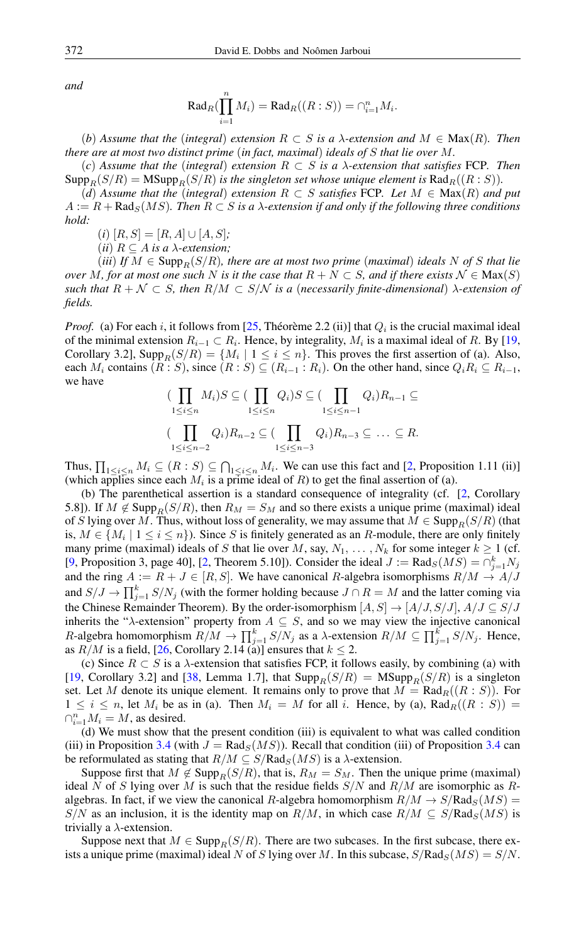*and*

$$
\operatorname{Rad}_R(\prod_{i=1}^n M_i) = \operatorname{Rad}_R((R:S)) = \cap_{i=1}^n M_i.
$$

(*b*) *Assume that the* (*integral*) *extension* R ⊂ S *is a* λ*-extension and* M ∈ Max(R)*. Then there are at most two distinct prime* (*in fact, maximal*) *ideals of* S *that lie over* M*.*

(*c*) *Assume that the* (*integral*) *extension* R ⊂ S *is a* λ*-extension that satisfies* FCP*. Then*  $\text{Supp}_R(S/R) = \text{MSupp}_R(S/R)$  *is the singleton set whose unique element is*  $\text{Rad}_R((R : S))$ *.* 

 $(d)$  *Assume that the* (*integral*) *extension*  $R \subset S$  *satisfies* FCP*. Let*  $M \in Max(R)$  *and put*  $A := R + \text{Rad}_{S}(MS)$ . Then  $R \subset S$  is a  $\lambda$ -extension if and only if the following three conditions *hold:*

 $(i)$   $[R, S] = [R, A] \cup [A, S]$ ;

(*ii*)  $R \subseteq A$  *is a*  $\lambda$ -extension;

 $(iii)$  *If*  $M \in \text{Supp}_R(S/R)$ *, there are at most two prime (maximal) ideals* N of S *that lie over* M, for at most one such N is it the case that  $R + N \subset S$ , and if there exists  $\mathcal{N} \in \text{Max}(S)$ *such that*  $R + \mathcal{N} \subset S$ *, then*  $R/M \subset S/N$  *is a (necessarily finite-dimensional)*  $\lambda$ -extension of *fields.*

*Proof.* (a) For each i, it follows from [\[25,](#page-15-4) Théorème 2.2 (ii)] that  $Q_i$  is the crucial maximal ideal of the minimal extension  $R_{i-1} \subset R_i$ . Hence, by integrality,  $M_i$  is a maximal ideal of R. By [\[19,](#page-15-6) Corollary 3.2], Supp $_R(S/R) = \{M_i \mid 1 \le i \le n\}$ . This proves the first assertion of (a). Also, each  $M_i$  contains  $(R : S)$ , since  $(R : S) \subseteq (R_{i-1} : R_i)$ . On the other hand, since  $Q_i R_i \subseteq R_{i-1}$ , we have

$$
\left(\prod_{1 \leq i \leq n} M_i\right) S \subseteq \left(\prod_{1 \leq i \leq n} Q_i\right) S \subseteq \left(\prod_{1 \leq i \leq n-1} Q_i\right) R_{n-1} \subseteq
$$
\n
$$
\left(\prod_{1 \leq i \leq n-2} Q_i\right) R_{n-2} \subseteq \left(\prod_{1 \leq i \leq n-3} Q_i\right) R_{n-3} \subseteq \dots \subseteq R.
$$

Thus,  $\prod_{1 \leq i \leq n} M_i \subseteq (R : S) \subseteq \bigcap_{1 \leq i \leq n} M_i$ . We can use this fact and [\[2,](#page-14-5) Proposition 1.11 (ii)] (which applies since each  $M_i$  is a prime ideal of  $R$ ) to get the final assertion of (a).

(b) The parenthetical assertion is a standard consequence of integrality (cf. [\[2,](#page-14-5) Corollary 5.8]). If  $M \notin \text{Supp}_R(S/R)$ , then  $R_M = S_M$  and so there exists a unique prime (maximal) ideal of S lying over M. Thus, without loss of generality, we may assume that  $M \in \text{Supp}_R(S/R)$  (that is,  $M \in \{M_i \mid 1 \le i \le n\}$ ). Since S is finitely generated as an R-module, there are only finitely many prime (maximal) ideals of S that lie over M, say,  $N_1, \ldots, N_k$  for some integer  $k \ge 1$  (cf. [\[9,](#page-15-22) Proposition 3, page 40], [\[2,](#page-14-5) Theorem 5.10]). Consider the ideal  $J := \text{Rad}_{S}(MS) = \bigcap_{j=1}^{k} N_j$ and the ring  $A := R + J \in [R, S]$ . We have canonical R-algebra isomorphisms  $R/M \rightarrow A/J$ and  $S/J \to \prod_{j=1}^{k} S/N_j$  (with the former holding because  $J \cap R = M$  and the latter coming via the Chinese Remainder Theorem). By the order-isomorphism  $[A, S] \rightarrow [A/J, S/J], A/J \subseteq S/J$ inherits the " $\lambda$ -extension" property from  $A \subseteq S$ , and so we may view the injective canonical R-algebra homomorphism  $R/M \to \prod_{j=1}^{k} S/N_j$  as a  $\lambda$ -extension  $R/M \subseteq \prod_{j=1}^{k} S/N_j$ . Hence, as  $R/M$  is a field, [\[26,](#page-15-2) Corollary 2.14 (a)] ensures that  $k \leq 2$ .

(c) Since  $R \subset S$  is a  $\lambda$ -extension that satisfies FCP, it follows easily, by combining (a) with [\[19,](#page-15-6) Corollary 3.2] and [\[38,](#page-16-0) Lemma 1.7], that  $\text{Supp}_R(S/R) = \text{MSupp}_R(S/R)$  is a singleton set. Let M denote its unique element. It remains only to prove that  $M = \text{Rad}_{R}((R : S))$ . For  $1 \leq i \leq n$ , let  $M_i$  be as in (a). Then  $M_i = M$  for all i. Hence, by (a),  $\text{Rad}_R((R : S)) =$  $\bigcap_{i=1}^n M_i = M$ , as desired.

(d) We must show that the present condition (iii) is equivalent to what was called condition (iii) in Proposition [3.4](#page-9-1) (with  $J = \text{Rad}_{S}(MS)$ ). Recall that condition (iii) of Proposition 3.4 can be reformulated as stating that  $R/M \subseteq S/Rad_S(MS)$  is a  $\lambda$ -extension.

Suppose first that  $M \notin \text{Supp}_R(S/R)$ , that is,  $R_M = S_M$ . Then the unique prime (maximal) ideal N of S lying over M is such that the residue fields  $S/N$  and  $R/M$  are isomorphic as Ralgebras. In fact, if we view the canonical R-algebra homomorphism  $R/M \to S/Rad_S(MS)$  = S/N as an inclusion, it is the identity map on  $R/M$ , in which case  $R/M \subseteq S/Rad_S(MS)$  is trivially a  $\lambda$ -extension.

Suppose next that  $M \in \text{Supp}_R(S/R)$ . There are two subcases. In the first subcase, there exists a unique prime (maximal) ideal N of S lying over M. In this subcase,  $S/Rad_S(MS) = S/N$ .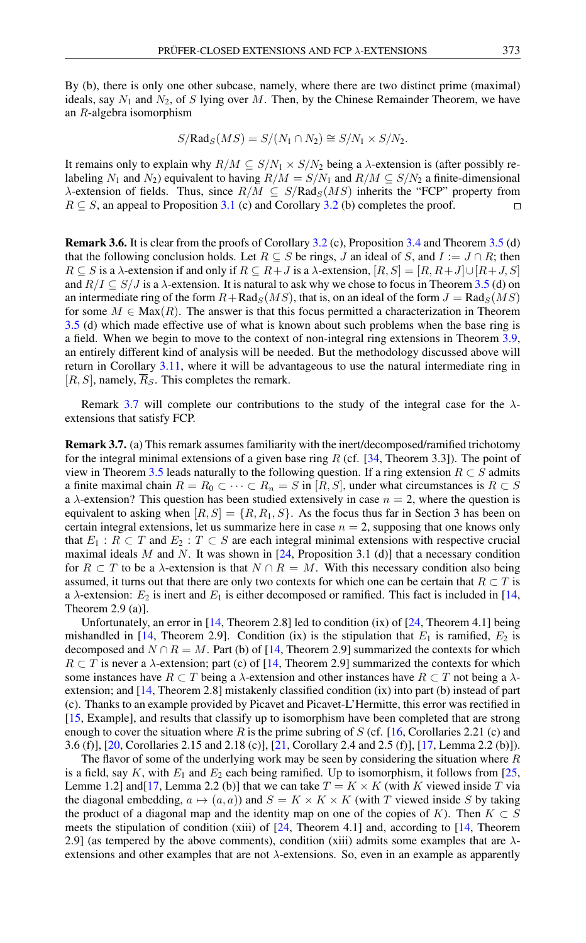By (b), there is only one other subcase, namely, where there are two distinct prime (maximal) ideals, say  $N_1$  and  $N_2$ , of S lying over M. Then, by the Chinese Remainder Theorem, we have an R-algebra isomorphism

$$
S/\text{Rad}_S(MS) = S/(N_1 \cap N_2) \cong S/N_1 \times S/N_2.
$$

It remains only to explain why  $R/M \subseteq S/N_1 \times S/N_2$  being a  $\lambda$ -extension is (after possibly relabeling N<sub>1</sub> and N<sub>2</sub>) equivalent to having  $R/M = S/N_1$  and  $R/M \subset S/N_2$  a finite-dimensional  $\lambda$ -extension of fields. Thus, since  $R/M \subseteq S/Rad_S(MS)$  inherits the "FCP" property from  $R \subseteq S$ , an appeal to Proposition [3.1](#page-7-2) (c) and Corollary [3.2](#page-8-0) (b) completes the proof.  $\Box$ 

Remark 3.6. It is clear from the proofs of Corollary [3.2](#page-8-0) (c), Proposition [3.4](#page-9-1) and Theorem [3.5](#page-9-0) (d) that the following conclusion holds. Let  $R \subseteq S$  be rings, J an ideal of S, and  $I := J \cap R$ ; then  $R \subseteq S$  is a  $\lambda$ -extension if and only if  $R \subseteq R+J$  is a  $\lambda$ -extension,  $[R, S] = [R, R+J] \cup [R+J, S]$ and  $R/I \subseteq S/J$  is a  $\lambda$ -extension. It is natural to ask why we chose to focus in Theorem [3.5](#page-9-0) (d) on an intermediate ring of the form  $R+\text{Rad}_S(MS)$ , that is, on an ideal of the form  $J=\text{Rad}_S(MS)$ for some  $M \in \text{Max}(R)$ . The answer is that this focus permitted a characterization in Theorem [3.5](#page-9-0) (d) which made effective use of what is known about such problems when the base ring is a field. When we begin to move to the context of non-integral ring extensions in Theorem [3.9,](#page-12-0) an entirely different kind of analysis will be needed. But the methodology discussed above will return in Corollary [3.11,](#page-14-3) where it will be advantageous to use the natural intermediate ring in  $[R, S]$ , namely,  $\overline{R}_S$ . This completes the remark.

Remark [3.7](#page-11-0) will complete our contributions to the study of the integral case for the  $\lambda$ extensions that satisfy FCP.

<span id="page-11-0"></span>Remark 3.7. (a) This remark assumes familiarity with the inert/decomposed/ramified trichotomy for the integral minimal extensions of a given base ring  $R$  (cf. [\[34,](#page-15-23) Theorem 3.3]). The point of view in Theorem [3.5](#page-9-0) leads naturally to the following question. If a ring extension  $R \subset S$  admits a finite maximal chain  $R = R_0 \subset \cdots \subset R_n = S$  in [R, S], under what circumstances is  $R \subset S$ a  $\lambda$ -extension? This question has been studied extensively in case  $n = 2$ , where the question is equivalent to asking when  $[R, S] = \{R, R_1, S\}$ . As the focus thus far in Section 3 has been on certain integral extensions, let us summarize here in case  $n = 2$ , supposing that one knows only that  $E_1$ :  $R \subset T$  and  $E_2$ :  $T \subset S$  are each integral minimal extensions with respective crucial maximal ideals M and N. It was shown in  $[24,$  Proposition 3.1 (d)] that a necessary condition for  $R \subset T$  to be a  $\lambda$ -extension is that  $N \cap R = M$ . With this necessary condition also being assumed, it turns out that there are only two contexts for which one can be certain that  $R \subset T$  is a  $\lambda$ -extension:  $E_2$  is inert and  $E_1$  is either decomposed or ramified. This fact is included in [\[14,](#page-15-25) Theorem 2.9 (a)].

Unfortunately, an error in  $[14,$  Theorem 2.8] led to condition  $(ix)$  of  $[24,$  Theorem 4.1] being mishandled in [\[14,](#page-15-25) Theorem 2.9]. Condition (ix) is the stipulation that  $E_1$  is ramified,  $E_2$  is decomposed and  $N \cap R = M$ . Part (b) of [\[14,](#page-15-25) Theorem 2.9] summarized the contexts for which  $R \subset T$  is never a  $\lambda$ -extension; part (c) of [\[14,](#page-15-25) Theorem 2.9] summarized the contexts for which some instances have  $R \subset T$  being a  $\lambda$ -extension and other instances have  $R \subset T$  not being a  $\lambda$ extension; and [\[14,](#page-15-25) Theorem 2.8] mistakenly classified condition (ix) into part (b) instead of part (c). Thanks to an example provided by Picavet and Picavet-L'Hermitte, this error was rectified in [\[15,](#page-15-26) Example], and results that classify up to isomorphism have been completed that are strong enough to cover the situation where R is the prime subring of S (cf. [\[16,](#page-15-27) Corollaries 2.21 (c) and 3.6 (f)], [\[20,](#page-15-28) Corollaries 2.15 and 2.18 (c)], [\[21,](#page-15-29) Corollary 2.4 and 2.5 (f)], [\[17,](#page-15-30) Lemma 2.2 (b)]).

The flavor of some of the underlying work may be seen by considering the situation where  $R$ is a field, say K, with  $E_1$  and  $E_2$  each being ramified. Up to isomorphism, it follows from [\[25,](#page-15-4) Lemme 1.2] and [\[17,](#page-15-30) Lemma 2.2 (b)] that we can take  $T = K \times K$  (with K viewed inside T via the diagonal embedding,  $a \mapsto (a, a)$ ) and  $S = K \times K \times K$  (with T viewed inside S by taking the product of a diagonal map and the identity map on one of the copies of K). Then  $K \subset S$ meets the stipulation of condition (xiii) of [\[24,](#page-15-24) Theorem 4.1] and, according to [\[14,](#page-15-25) Theorem 2.9] (as tempered by the above comments), condition (xiii) admits some examples that are  $\lambda$ extensions and other examples that are not λ-extensions. So, even in an example as apparently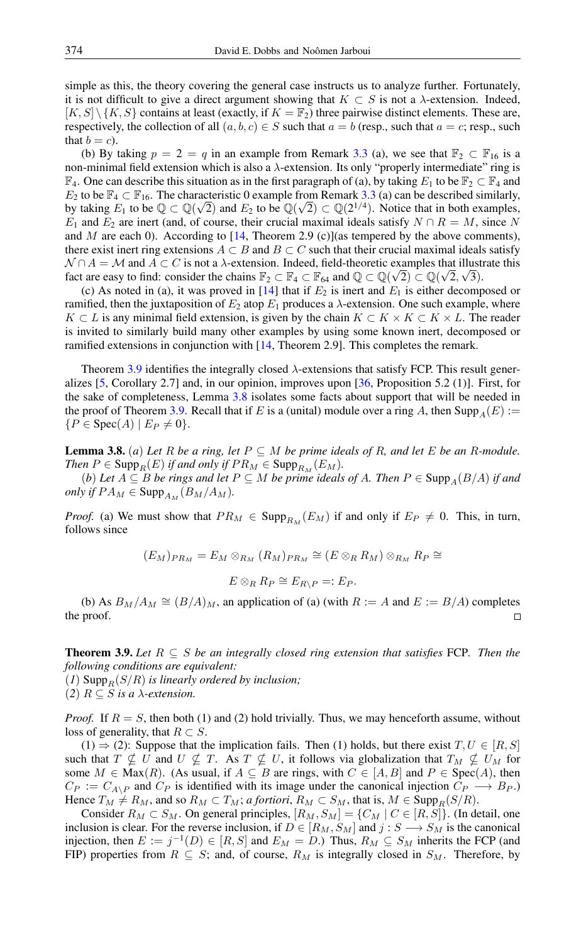simple as this, the theory covering the general case instructs us to analyze further. Fortunately, it is not difficult to give a direct argument showing that  $K \subset S$  is not a  $\lambda$ -extension. Indeed,  $[K, S] \setminus \{K, S\}$  contains at least (exactly, if  $K = \mathbb{F}_2$ ) three pairwise distinct elements. These are, respectively, the collection of all  $(a, b, c) \in S$  such that  $a = b$  (resp., such that  $a = c$ ; resp., such that  $b = c$ ).

(b) By taking  $p = 2 = q$  in an example from Remark [3.3](#page-9-2) (a), we see that  $\mathbb{F}_2 \subset \mathbb{F}_{16}$  is a non-minimal field extension which is also a  $\lambda$ -extension. Its only "properly intermediate" ring is  $\mathbb{F}_4$ . One can describe this situation as in the first paragraph of (a), by taking  $E_1$  to be  $\mathbb{F}_2 \subset \mathbb{F}_4$  and  $E_2$  to be  $\mathbb{F}_4 \subset \mathbb{F}_{16}$ . The characteristic 0 example from Remark [3.3](#page-9-2) (a) can be described similarly, by taking  $E_1$  to be  $\mathbb{Q} \subset \mathbb{Q}(\sqrt{2})$  and  $E_2$  to be  $\mathbb{Q}(\sqrt{2}) \subset \mathbb{Q}(2^{1/4})$ . Notice that in both examples,  $E_1$  and  $E_2$  are inert (and, of course, their crucial maximal ideals satisfy  $N \cap R = M$ , since N and  $M$  are each 0). According to  $[14,$  Theorem 2.9 (c)](as tempered by the above comments), there exist inert ring extensions  $A \subset B$  and  $B \subset C$  such that their crucial maximal ideals satisfy  $\mathcal{N} \cap A = \mathcal{M}$  and  $A \subset C$  is not a  $\lambda$ -extension. Indeed, field-theoretic examples that illustrate this fact are easy to find: consider the chains  $\mathbb{F}_2 \subset \mathbb{F}_4 \subset \mathbb{F}_{64}$  and  $\mathbb{Q} \subset \mathbb{Q}(\sqrt{2}) \subset \mathbb{Q}(\sqrt{2}, \sqrt{3})$ .

(c) As noted in (a), it was proved in  $[14]$  that if  $E_2$  is inert and  $E_1$  is either decomposed or ramified, then the juxtaposition of  $E_2$  atop  $E_1$  produces a  $\lambda$ -extension. One such example, where  $K \subset L$  is any minimal field extension, is given by the chain  $K \subset K \times K \subset K \times L$ . The reader is invited to similarly build many other examples by using some known inert, decomposed or ramified extensions in conjunction with [\[14,](#page-15-25) Theorem 2.9]. This completes the remark.

Theorem [3.9](#page-12-0) identifies the integrally closed  $\lambda$ -extensions that satisfy FCP. This result generalizes [\[5,](#page-14-6) Corollary 2.7] and, in our opinion, improves upon [\[36,](#page-15-3) Proposition 5.2 (1)]. First, for the sake of completeness, Lemma [3.8](#page-12-1) isolates some facts about support that will be needed in the proof of Theorem [3.9.](#page-12-0) Recall that if E is a (unital) module over a ring A, then Supp<sub>A</sub>(E) :=  ${P \in \text{Spec}(A) \mid E_P \neq 0}.$ 

<span id="page-12-1"></span>**Lemma 3.8.** (*a*) Let R be a ring, let  $P \subseteq M$  be prime ideals of R, and let E be an R-module. *Then*  $P \in \text{Supp}_R(E)$  *if and only if*  $PR_M \in \text{Supp}_{R_M}(E_M)$ .

(*b*) *Let*  $A ⊆ B$  *be rings and let*  $P ⊆ M$  *be prime ideals of*  $A$ *. Then*  $P ∈ \text{Supp}_A(B/A)$  *if and only if*  $PA_M \in \text{Supp}_{A_M}(B_M/A_M)$ .

*Proof.* (a) We must show that  $PR_M \in \text{Supp}_{R_M}(E_M)$  if and only if  $E_P \neq 0$ . This, in turn, follows since

$$
(E_M)_{PR_M} = E_M \otimes_{R_M} (R_M)_{PR_M} \cong (E \otimes_R R_M) \otimes_{R_M} R_P \cong
$$
  

$$
E \otimes_R R_P \cong E_{R \setminus P} =: E_P.
$$

(b) As  $B_M/A_M \cong (B/A)_M$ , an application of (a) (with  $R := A$  and  $E := B/A$ ) completes the proof.  $\Box$ 

<span id="page-12-0"></span>Theorem 3.9. *Let* R ⊆ S *be an integrally closed ring extension that satisfies* FCP*. Then the following conditions are equivalent:*

 $(1)$  Supp<sub>R</sub> $(S/R)$  *is linearly ordered by inclusion;* (2)  $R \subseteq S$  *is a*  $\lambda$ -extension.

*Proof.* If  $R = S$ , then both (1) and (2) hold trivially. Thus, we may henceforth assume, without loss of generality, that  $R \subset S$ .

 $(1) \Rightarrow (2)$ : Suppose that the implication fails. Then (1) holds, but there exist  $T, U \in [R, S]$ such that  $T \nsubseteq U$  and  $U \nsubseteq T$ . As  $T \nsubseteq U$ , it follows via globalization that  $T_M \nsubseteq U_M$  for some  $M \in \text{Max}(R)$ . (As usual, if  $A \subseteq B$  are rings, with  $C \in [A, B]$  and  $P \in \text{Spec}(A)$ , then  $C_P := C_{A\setminus P}$  and  $C_P$  is identified with its image under the canonical injection  $C_P \longrightarrow B_P$ .) Hence  $T_M \neq R_M$ , and so  $R_M \subset T_M$ ; *a fortiori*,  $R_M \subset S_M$ , that is,  $M \in \text{Supp}_R(S/R)$ .

Consider  $R_M \subset S_M$ . On general principles,  $[R_M, S_M] = \{C_M | C \in [R, S]\}$ . (In detail, one inclusion is clear. For the reverse inclusion, if  $D \in [R_M, S_M]$  and  $j : S \longrightarrow S_M$  is the canonical injection, then  $E := j^{-1}(D) \in [R, S]$  and  $E_M = D$ .) Thus,  $R_M \subseteq S_M$  inherits the FCP (and FIP) properties from  $R \subseteq S$ ; and, of course,  $R_M$  is integrally closed in  $S_M$ . Therefore, by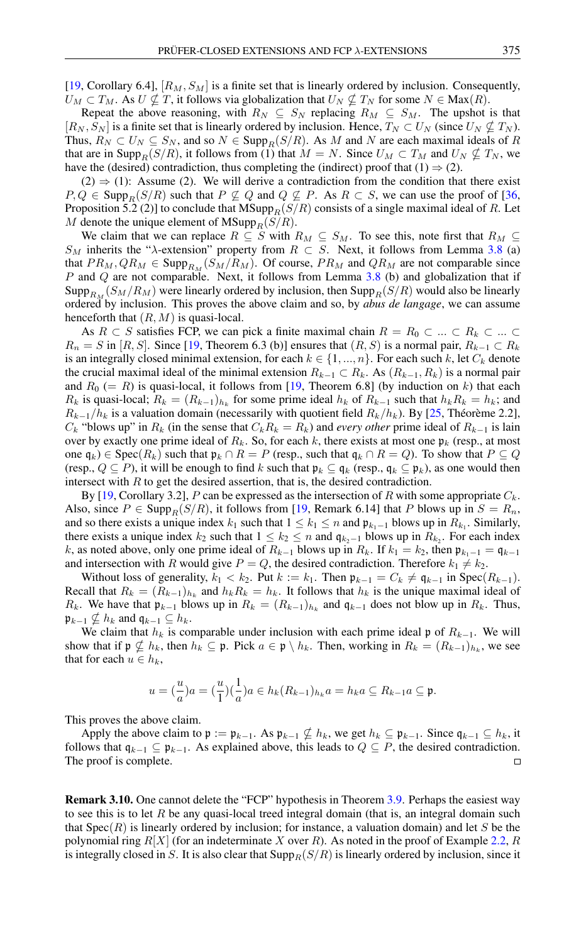[\[19,](#page-15-6) Corollary 6.4],  $[R_M, S_M]$  is a finite set that is linearly ordered by inclusion. Consequently,  $U_M \subset T_M$ . As  $U \nsubseteq T$ , it follows via globalization that  $U_N \nsubseteq T_N$  for some  $N \in \text{Max}(R)$ .

Repeat the above reasoning, with  $R_N \subseteq S_N$  replacing  $R_M \subseteq S_M$ . The upshot is that  $[R_N, S_N]$  is a finite set that is linearly ordered by inclusion. Hence,  $T_N \subset U_N$  (since  $U_N \nsubseteq T_N$ ). Thus,  $R_N \subset U_N \subseteq S_N$ , and so  $N \in \text{Supp}_R(S/R)$ . As M and N are each maximal ideals of R that are in Supp<sub>R</sub>(S/R), it follows from (1) that  $M = N$ . Since  $U_M \subset T_M$  and  $U_N \nsubseteq T_N$ , we have the (desired) contradiction, thus completing the (indirect) proof that (1)  $\Rightarrow$  (2).

 $(2) \Rightarrow (1)$ : Assume (2). We will derive a contradiction from the condition that there exist  $P, Q \in \text{Supp}_R(S/R)$  such that  $P \nsubseteq Q$  and  $Q \nsubseteq P$ . As  $R \subset S$ , we can use the proof of [\[36,](#page-15-3) Proposition 5.2 (2)] to conclude that  $MSupp_R(S/R)$  consists of a single maximal ideal of R. Let M denote the unique element of  $MSupp_R(S/R)$ .

We claim that we can replace  $R \subseteq S$  with  $R_M \subseteq S_M$ . To see this, note first that  $R_M \subseteq$  $S_M$  inherits the " $\lambda$ -extension" property from  $R \subset S$ . Next, it follows from Lemma [3.8](#page-12-1) (a) that  $PR_M, QR_M \in \text{Supp}_{R_M}(S_M/R_M)$ . Of course,  $PR_M$  and  $QR_M$  are not comparable since P and Q are not comparable. Next, it follows from Lemma [3.8](#page-12-1) (b) and globalization that if Supp<sub>RM</sub>  $(S_M/R_M)$  were linearly ordered by inclusion, then Supp<sub>R</sub>(S/R) would also be linearly ordered by inclusion. This proves the above claim and so, by *abus de langage*, we can assume henceforth that  $(R, M)$  is quasi-local.

As  $R \subset S$  satisfies FCP, we can pick a finite maximal chain  $R = R_0 \subset ... \subset R_k \subset ... \subset$  $R_n = S$  in [R, S]. Since [\[19,](#page-15-6) Theorem 6.3 (b)] ensures that  $(R, S)$  is a normal pair,  $R_{k-1} \subset R_k$ is an integrally closed minimal extension, for each  $k \in \{1, ..., n\}$ . For each such k, let  $C_k$  denote the crucial maximal ideal of the minimal extension  $R_{k-1} \subset R_k$ . As  $(R_{k-1}, R_k)$  is a normal pair and  $R_0 (= R)$  is quasi-local, it follows from [\[19,](#page-15-6) Theorem 6.8] (by induction on k) that each  $R_k$  is quasi-local;  $R_k = (R_{k-1})_{h_k}$  for some prime ideal  $h_k$  of  $R_{k-1}$  such that  $h_k R_k = h_k$ ; and  $R_{k-1}/h_k$  is a valuation domain (necessarily with quotient field  $R_k/h_k$ ). By [\[25,](#page-15-4) Théorème 2.2],  $C_k$  "blows up" in  $R_k$  (in the sense that  $C_kR_k = R_k$ ) and *every other* prime ideal of  $R_{k-1}$  is lain over by exactly one prime ideal of  $R_k$ . So, for each k, there exists at most one  $\mathfrak{p}_k$  (resp., at most one  $\mathfrak{q}_k$ ) ∈ Spec $(R_k)$  such that  $\mathfrak{p}_k \cap R = P$  (resp., such that  $\mathfrak{q}_k \cap R = Q$ ). To show that  $P \subseteq Q$ (resp.,  $Q \subseteq P$ ), it will be enough to find k such that  $\mathfrak{p}_k \subseteq \mathfrak{q}_k$  (resp.,  $\mathfrak{q}_k \subseteq \mathfrak{p}_k$ ), as one would then intersect with  $R$  to get the desired assertion, that is, the desired contradiction.

By [\[19,](#page-15-6) Corollary 3.2], P can be expressed as the intersection of R with some appropriate  $C_k$ . Also, since  $P \in \text{Supp}_R(S/R)$ , it follows from [\[19,](#page-15-6) Remark 6.14] that P blows up in  $S = R_n$ , and so there exists a unique index  $k_1$  such that  $1 \leq k_1 \leq n$  and  $\mathfrak{p}_{k_1-1}$  blows up in  $R_{k_1}$ . Similarly, there exists a unique index  $k_2$  such that  $1 \leq k_2 \leq n$  and  $\mathfrak{q}_{k_2-1}$  blows up in  $R_{k_2}$ . For each index k, as noted above, only one prime ideal of  $R_{k-1}$  blows up in  $R_k$ . If  $k_1 = k_2$ , then  $\mathfrak{p}_{k_1-1} = \mathfrak{q}_{k-1}$ and intersection with R would give  $P = Q$ , the desired contradiction. Therefore  $k_1 \neq k_2$ .

Without loss of generality,  $k_1 < k_2$ . Put  $k := k_1$ . Then  $\mathfrak{p}_{k-1} = C_k \neq \mathfrak{q}_{k-1}$  in  $\text{Spec}(R_{k-1})$ . Recall that  $R_k = (R_{k-1})_{h_k}$  and  $h_k R_k = h_k$ . It follows that  $h_k$  is the unique maximal ideal of  $R_k$ . We have that  $\mathfrak{p}_{k-1}$  blows up in  $R_k = (R_{k-1})_{h_k}$  and  $\mathfrak{q}_{k-1}$  does not blow up in  $R_k$ . Thus,  $\mathfrak{p}_{k-1} \nsubseteq h_k$  and  $\mathfrak{q}_{k-1} \subseteq h_k$ .

We claim that  $h_k$  is comparable under inclusion with each prime ideal p of  $R_{k-1}$ . We will show that if  $\mathfrak{p} \nsubseteq h_k$ , then  $h_k \subseteq \mathfrak{p}$ . Pick  $a \in \mathfrak{p} \setminus h_k$ . Then, working in  $R_k = (R_{k-1})_{h_k}$ , we see that for each  $u \in h_k$ ,

$$
u = \left(\frac{u}{a}\right)a = \left(\frac{u}{1}\right)\left(\frac{1}{a}\right)a \in h_k(R_{k-1})_{h_k}a = h_ka \subseteq R_{k-1}a \subseteq \mathfrak{p}.
$$

This proves the above claim.

Apply the above claim to  $\mathfrak{p} := \mathfrak{p}_{k-1}$ . As  $\mathfrak{p}_{k-1} \nsubseteq h_k$ , we get  $h_k \subseteq \mathfrak{p}_{k-1}$ . Since  $\mathfrak{q}_{k-1} \subseteq h_k$ , it follows that  $q_{k-1} \subseteq p_{k-1}$ . As explained above, this leads to  $Q \subseteq P$ , the desired contradiction. The proof is complete.  $\Box$ 

Remark 3.10. One cannot delete the "FCP" hypothesis in Theorem [3.9.](#page-12-0) Perhaps the easiest way to see this is to let  $R$  be any quasi-local treed integral domain (that is, an integral domain such that  $Spec(R)$  is linearly ordered by inclusion; for instance, a valuation domain) and let S be the polynomial ring  $R[X]$  (for an indeterminate X over R). As noted in the proof of Example [2.2,](#page-3-0) R is integrally closed in S. It is also clear that  $\text{Supp}_R(S/R)$  is linearly ordered by inclusion, since it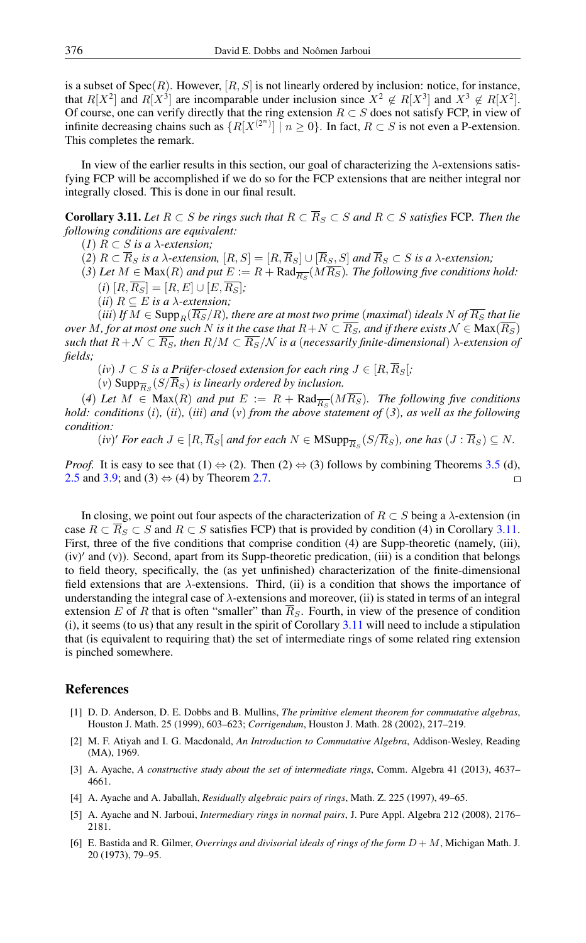is a subset of  $Spec(R)$ . However,  $[R, S]$  is not linearly ordered by inclusion: notice, for instance, that  $R[X^2]$  and  $R[X^3]$  are incomparable under inclusion since  $X^2 \notin R[X^3]$  and  $X^3 \notin R[X^2]$ . Of course, one can verify directly that the ring extension  $R \subset S$  does not satisfy FCP, in view of infinite decreasing chains such as  $\{R[X^{(2^n)}] | n \ge 0\}$ . In fact,  $R \subset S$  is not even a P-extension. This completes the remark.

In view of the earlier results in this section, our goal of characterizing the  $\lambda$ -extensions satisfying FCP will be accomplished if we do so for the FCP extensions that are neither integral nor integrally closed. This is done in our final result.

<span id="page-14-3"></span>**Corollary 3.11.** *Let*  $R ⊂ S$  *be rings such that*  $R ⊂ \overline{R}_S ⊂ S$  *and*  $R ⊂ S$  *satisfies* FCP. Then the *following conditions are equivalent:*

(*1*) R ⊂ S *is a* λ*-extension;*

 $(2)$   $R \subset \overline{R}_S$  *is a*  $\lambda$ -extension,  $[R, S] = [R, \overline{R}_S] \cup [\overline{R}_S, S]$  and  $\overline{R}_S \subset S$  *is a*  $\lambda$ -extension;

(3) Let  $M \in \text{Max}(R)$  and put  $E := R + \text{Rad}_{\overline{R_S}}(MR_S)$ . The following five conditions hold:  $(i)$   $[R, \overline{R_S}] = [R, E] \cup [E, \overline{R_S}];$ 

(*ii*)  $R \subseteq E$  *is a*  $\lambda$ -extension;

 $(iii)$  *If*  $M \in \text{Supp}_R(\overline{R_S}/R)$ , there are at most two prime (maximal) ideals N of  $\overline{R_S}$  that lie *over* M, for at most one such N is it the case that  $R+N \subset \overline{R_S}$ , and if there exists  $\mathcal{N} \in \text{Max}(\overline{R_S})$ *such that*  $R + \mathcal{N} \subset \overline{R_S}$ , then  $R/M \subset \overline{R_S}/\mathcal{N}$  *is a (necessarily finite-dimensional)*  $\lambda$ -extension of *fields;*

 $(iv)$   $J \subset S$  *is a Prüfer-closed extension for each ring*  $J \in [R, \overline{R}_S];$ 

 $(v)$  Supp $_{\overline{R}_S}(S/R_S)$  *is linearly ordered by inclusion.* 

(4) Let  $M \in \text{Max}(R)$  and put  $E := R + \text{Rad}_{\overline{R_S}}(MR_S)$ . The following five conditions *hold: conditions* (*i*)*,* (*ii*)*,* (*iii*) *and* (*v*) *from the above statement of* (*3*)*, as well as the following condition:*

 $(iv)'$  *For each*  $J \in [R, \overline{R}_S]$  *and for each*  $N \in \text{MSupp}_{\overline{R}_S}(S/\overline{R}_S)$ *, one has*  $(J : \overline{R}_S) \subseteq N$ *.* 

*Proof.* It is easy to see that  $(1) \Leftrightarrow (2)$ . Then  $(2) \Leftrightarrow (3)$  follows by combining Theorems [3.5](#page-9-0) (d), [2.5](#page-3-2) and [3.9;](#page-12-0) and (3)  $\Leftrightarrow$  (4) by Theorem [2.7.](#page-4-0)  $\Box$ 

In closing, we point out four aspects of the characterization of  $R \subset S$  being a  $\lambda$ -extension (in case  $R \subset R_S \subset S$  and  $R \subset S$  satisfies FCP) that is provided by condition (4) in Corollary [3.11.](#page-14-3) First, three of the five conditions that comprise condition (4) are Supp-theoretic (namely, (iii), (iv)' and (v)). Second, apart from its Supp-theoretic predication, (iii) is a condition that belongs to field theory, specifically, the (as yet unfinished) characterization of the finite-dimensional field extensions that are  $\lambda$ -extensions. Third, (ii) is a condition that shows the importance of understanding the integral case of  $\lambda$ -extensions and moreover, (ii) is stated in terms of an integral extension E of R that is often "smaller" than  $\overline{R}_S$ . Fourth, in view of the presence of condition (i), it seems (to us) that any result in the spirit of Corollary [3.11](#page-14-3) will need to include a stipulation that (is equivalent to requiring that) the set of intermediate rings of some related ring extension is pinched somewhere.

### <span id="page-14-0"></span>References

- [1] D. D. Anderson, D. E. Dobbs and B. Mullins, *The primitive element theorem for commutative algebras*, Houston J. Math. 25 (1999), 603–623; *Corrigendum*, Houston J. Math. 28 (2002), 217–219.
- <span id="page-14-5"></span>[2] M. F. Atiyah and I. G. Macdonald, *An Introduction to Commutative Algebra*, Addison-Wesley, Reading (MA), 1969.
- <span id="page-14-1"></span>[3] A. Ayache, *A constructive study about the set of intermediate rings*, Comm. Algebra 41 (2013), 4637– 4661.
- <span id="page-14-2"></span>[4] A. Ayache and A. Jaballah, *Residually algebraic pairs of rings*, Math. Z. 225 (1997), 49–65.
- <span id="page-14-6"></span>[5] A. Ayache and N. Jarboui, *Intermediary rings in normal pairs*, J. Pure Appl. Algebra 212 (2008), 2176– 2181.
- <span id="page-14-4"></span>[6] E. Bastida and R. Gilmer, *Overrings and divisorial ideals of rings of the form* D + M, Michigan Math. J. 20 (1973), 79–95.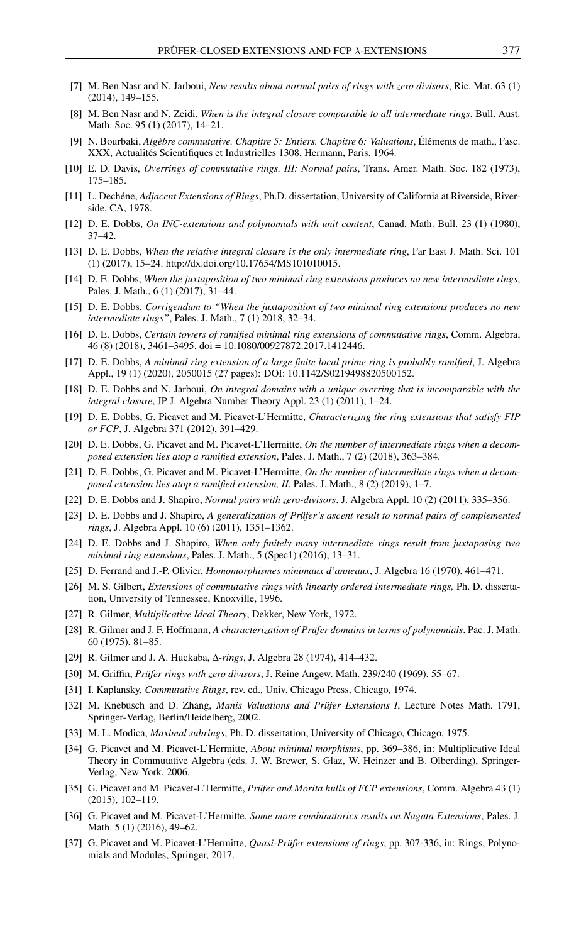- <span id="page-15-10"></span>[7] M. Ben Nasr and N. Jarboui, *New results about normal pairs of rings with zero divisors*, Ric. Mat. 63 (1) (2014), 149–155.
- <span id="page-15-1"></span>[8] M. Ben Nasr and N. Zeidi, *When is the integral closure comparable to all intermediate rings*, Bull. Aust. Math. Soc. 95 (1) (2017), 14–21.
- <span id="page-15-22"></span>[9] N. Bourbaki, *Algèbre commutative. Chapitre 5: Entiers. Chapitre 6: Valuations*, Éléments de math., Fasc. XXX, Actualités Scientifiques et Industrielles 1308, Hermann, Paris, 1964.
- <span id="page-15-12"></span>[10] E. D. Davis, *Overrings of commutative rings. III: Normal pairs*, Trans. Amer. Math. Soc. 182 (1973), 175–185.
- <span id="page-15-19"></span>[11] L. Dechéne, *Adjacent Extensions of Rings*, Ph.D. dissertation, University of California at Riverside, Riverside, CA, 1978.
- <span id="page-15-9"></span>[12] D. E. Dobbs, *On INC-extensions and polynomials with unit content*, Canad. Math. Bull. 23 (1) (1980), 37–42.
- <span id="page-15-7"></span>[13] D. E. Dobbs, *When the relative integral closure is the only intermediate ring*, Far East J. Math. Sci. 101 (1) (2017), 15–24. http://dx.doi.org/10.17654/MS101010015.
- <span id="page-15-25"></span>[14] D. E. Dobbs, *When the juxtaposition of two minimal ring extensions produces no new intermediate rings*, Pales. J. Math., 6 (1) (2017), 31–44.
- <span id="page-15-26"></span>[15] D. E. Dobbs, *Corrigendum to "When the juxtaposition of two minimal ring extensions produces no new intermediate rings"*, Pales. J. Math., 7 (1) 2018, 32–34.
- <span id="page-15-27"></span>[16] D. E. Dobbs, *Certain towers of ramified minimal ring extensions of commutative rings*, Comm. Algebra, 46 (8) (2018), 3461–3495. doi = 10.1080/00927872.2017.1412446.
- <span id="page-15-30"></span>[17] D. E. Dobbs, *A minimal ring extension of a large finite local prime ring is probably ramified*, J. Algebra Appl., 19 (1) (2020), 2050015 (27 pages): DOI: 10.1142/S0219498820500152.
- <span id="page-15-17"></span>[18] D. E. Dobbs and N. Jarboui, *On integral domains with a unique overring that is incomparable with the integral closure*, JP J. Algebra Number Theory Appl. 23 (1) (2011), 1–24.
- <span id="page-15-6"></span>[19] D. E. Dobbs, G. Picavet and M. Picavet-L'Hermitte, *Characterizing the ring extensions that satisfy FIP or FCP*, J. Algebra 371 (2012), 391–429.
- <span id="page-15-28"></span>[20] D. E. Dobbs, G. Picavet and M. Picavet-L'Hermitte, *On the number of intermediate rings when a decomposed extension lies atop a ramified extension*, Pales. J. Math., 7 (2) (2018), 363–384.
- <span id="page-15-29"></span>[21] D. E. Dobbs, G. Picavet and M. Picavet-L'Hermitte, *On the number of intermediate rings when a decomposed extension lies atop a ramified extension, II*, Pales. J. Math., 8 (2) (2019), 1–7.
- <span id="page-15-13"></span>[22] D. E. Dobbs and J. Shapiro, *Normal pairs with zero-divisors*, J. Algebra Appl. 10 (2) (2011), 335–356.
- <span id="page-15-14"></span>[23] D. E. Dobbs and J. Shapiro, *A generalization of Prüfer's ascent result to normal pairs of complemented rings*, J. Algebra Appl. 10 (6) (2011), 1351–1362.
- <span id="page-15-24"></span>[24] D. E. Dobbs and J. Shapiro, *When only finitely many intermediate rings result from juxtaposing two minimal ring extensions*, Pales. J. Math., 5 (Spec1) (2016), 13–31.
- <span id="page-15-4"></span>[25] D. Ferrand and J.-P. Olivier, *Homomorphismes minimaux d'anneaux*, J. Algebra 16 (1970), 461–471.
- <span id="page-15-2"></span>[26] M. S. Gilbert, *Extensions of commutative rings with linearly ordered intermediate rings,* Ph. D. dissertation, University of Tennessee, Knoxville, 1996.
- <span id="page-15-16"></span>[27] R. Gilmer, *Multiplicative Ideal Theory*, Dekker, New York, 1972.
- <span id="page-15-8"></span>[28] R. Gilmer and J. F. Hoffmann, *A characterization of Prüfer domains in terms of polynomials*, Pac. J. Math. 60 (1975), 81–85.
- <span id="page-15-21"></span>[29] R. Gilmer and J. A. Huckaba, ∆*-rings*, J. Algebra 28 (1974), 414–432.
- <span id="page-15-15"></span>[30] M. Griffin, *Prüfer rings with zero divisors*, J. Reine Angew. Math. 239/240 (1969), 55–67.
- <span id="page-15-0"></span>[31] I. Kaplansky, *Commutative Rings*, rev. ed., Univ. Chicago Press, Chicago, 1974.
- <span id="page-15-5"></span>[32] M. Knebusch and D. Zhang, *Manis Valuations and Prüfer Extensions I*, Lecture Notes Math. 1791, Springer-Verlag, Berlin/Heidelberg, 2002.
- <span id="page-15-18"></span>[33] M. L. Modica, *Maximal subrings*, Ph. D. dissertation, University of Chicago, Chicago, 1975.
- <span id="page-15-23"></span>[34] G. Picavet and M. Picavet-L'Hermitte, *About minimal morphisms*, pp. 369–386, in: Multiplicative Ideal Theory in Commutative Algebra (eds. J. W. Brewer, S. Glaz, W. Heinzer and B. Olberding), Springer-Verlag, New York, 2006.
- <span id="page-15-20"></span>[35] G. Picavet and M. Picavet-L'Hermitte, *Prüfer and Morita hulls of FCP extensions*, Comm. Algebra 43 (1) (2015), 102–119.
- <span id="page-15-3"></span>[36] G. Picavet and M. Picavet-L'Hermitte, *Some more combinatorics results on Nagata Extensions*, Pales. J. Math. 5 (1) (2016), 49–62.
- <span id="page-15-11"></span>[37] G. Picavet and M. Picavet-L'Hermitte, *Quasi-Prüfer extensions of rings*, pp. 307-336, in: Rings, Polynomials and Modules, Springer, 2017.